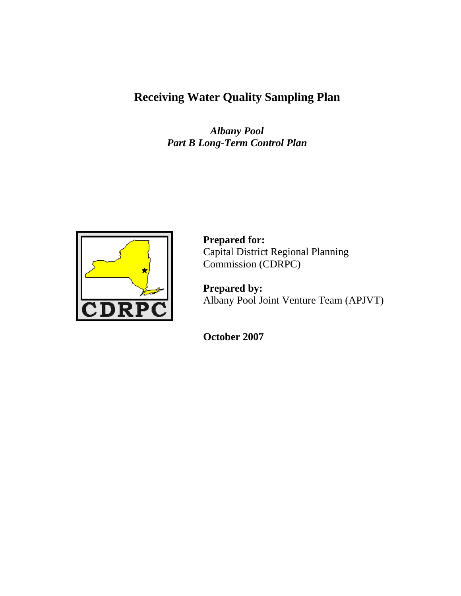# **Receiving Water Quality Sampling Plan**

*Albany Pool Part B Long-Term Control Plan* 



 **Prepared for:** Capital District Regional Planning Commission (CDRPC)

 **Prepared by:**  Albany Pool Joint Venture Team (APJVT)

 **October 2007**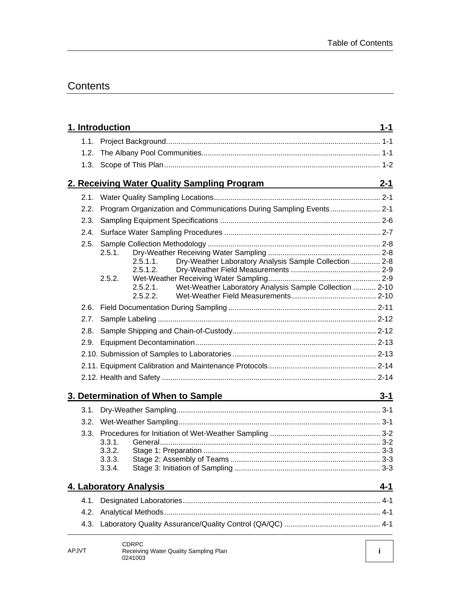### **Contents**

| 2.2. Program Organization and Communications During Sampling Events 2-1<br>2.3.<br>2.4.<br>2.5.<br>2.5.1.<br>Dry-Weather Laboratory Analysis Sample Collection  2-8<br>$2.5.1.1$ .<br>2.5.1.2.<br>2.5.2.<br>Wet-Weather Laboratory Analysis Sample Collection  2-10<br>2.5.2.1<br>2.5.2.2.<br>2.7.<br>2.8.<br>2.9.<br><u>3. Determination of When to Sample 3. Determination of When to Sample</u><br>3.3.<br>3.3.1.<br>3.3.2.<br>3.3.3.<br>3.3.4.<br>4. Laboratory Analysis<br>4.1.<br>4.2.<br>4.3.<br><b>CDRPC</b><br>APJVT<br>Receiving Water Quality Sampling Plan | 1. Introduction | $1 - 1$ |
|------------------------------------------------------------------------------------------------------------------------------------------------------------------------------------------------------------------------------------------------------------------------------------------------------------------------------------------------------------------------------------------------------------------------------------------------------------------------------------------------------------------------------------------------------------------------|-----------------|---------|
|                                                                                                                                                                                                                                                                                                                                                                                                                                                                                                                                                                        |                 |         |
|                                                                                                                                                                                                                                                                                                                                                                                                                                                                                                                                                                        |                 |         |
|                                                                                                                                                                                                                                                                                                                                                                                                                                                                                                                                                                        |                 |         |
|                                                                                                                                                                                                                                                                                                                                                                                                                                                                                                                                                                        |                 |         |
|                                                                                                                                                                                                                                                                                                                                                                                                                                                                                                                                                                        |                 |         |
|                                                                                                                                                                                                                                                                                                                                                                                                                                                                                                                                                                        |                 |         |
|                                                                                                                                                                                                                                                                                                                                                                                                                                                                                                                                                                        |                 |         |
|                                                                                                                                                                                                                                                                                                                                                                                                                                                                                                                                                                        |                 |         |
|                                                                                                                                                                                                                                                                                                                                                                                                                                                                                                                                                                        |                 |         |
|                                                                                                                                                                                                                                                                                                                                                                                                                                                                                                                                                                        |                 |         |
|                                                                                                                                                                                                                                                                                                                                                                                                                                                                                                                                                                        |                 |         |
|                                                                                                                                                                                                                                                                                                                                                                                                                                                                                                                                                                        |                 |         |
|                                                                                                                                                                                                                                                                                                                                                                                                                                                                                                                                                                        |                 |         |
|                                                                                                                                                                                                                                                                                                                                                                                                                                                                                                                                                                        |                 |         |
|                                                                                                                                                                                                                                                                                                                                                                                                                                                                                                                                                                        |                 |         |
|                                                                                                                                                                                                                                                                                                                                                                                                                                                                                                                                                                        |                 |         |
|                                                                                                                                                                                                                                                                                                                                                                                                                                                                                                                                                                        |                 |         |
|                                                                                                                                                                                                                                                                                                                                                                                                                                                                                                                                                                        |                 |         |
|                                                                                                                                                                                                                                                                                                                                                                                                                                                                                                                                                                        |                 |         |
|                                                                                                                                                                                                                                                                                                                                                                                                                                                                                                                                                                        |                 |         |
|                                                                                                                                                                                                                                                                                                                                                                                                                                                                                                                                                                        |                 |         |
|                                                                                                                                                                                                                                                                                                                                                                                                                                                                                                                                                                        |                 |         |
|                                                                                                                                                                                                                                                                                                                                                                                                                                                                                                                                                                        |                 |         |
|                                                                                                                                                                                                                                                                                                                                                                                                                                                                                                                                                                        |                 |         |
|                                                                                                                                                                                                                                                                                                                                                                                                                                                                                                                                                                        |                 |         |
|                                                                                                                                                                                                                                                                                                                                                                                                                                                                                                                                                                        |                 |         |
|                                                                                                                                                                                                                                                                                                                                                                                                                                                                                                                                                                        |                 |         |
|                                                                                                                                                                                                                                                                                                                                                                                                                                                                                                                                                                        |                 |         |
|                                                                                                                                                                                                                                                                                                                                                                                                                                                                                                                                                                        |                 |         |
|                                                                                                                                                                                                                                                                                                                                                                                                                                                                                                                                                                        |                 |         |
|                                                                                                                                                                                                                                                                                                                                                                                                                                                                                                                                                                        |                 | 4-1     |
|                                                                                                                                                                                                                                                                                                                                                                                                                                                                                                                                                                        |                 |         |
|                                                                                                                                                                                                                                                                                                                                                                                                                                                                                                                                                                        |                 |         |
|                                                                                                                                                                                                                                                                                                                                                                                                                                                                                                                                                                        |                 |         |
|                                                                                                                                                                                                                                                                                                                                                                                                                                                                                                                                                                        |                 |         |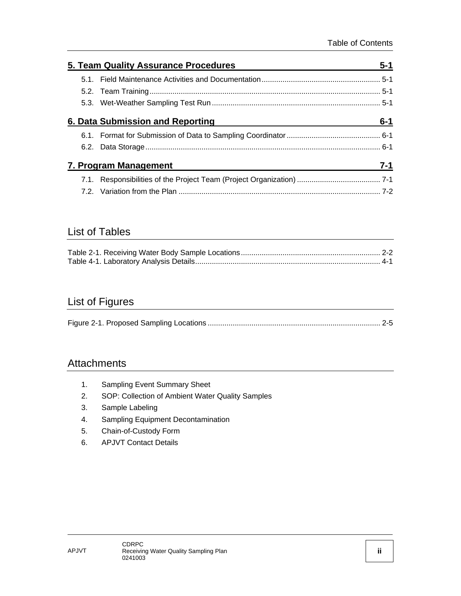|  | 5. Team Quality Assurance Procedures | $5 - 1$ |
|--|--------------------------------------|---------|
|  |                                      |         |
|  |                                      |         |
|  |                                      |         |
|  | 6. Data Submission and Reporting     | $6 - 1$ |
|  |                                      |         |
|  |                                      |         |
|  | 7. Program Management                | $7 - 1$ |
|  |                                      |         |
|  |                                      | 7-2     |

#### List of Tables

### List of Figures

|--|--|

### **Attachments**

- 1. Sampling Event Summary Sheet
- 2. SOP: Collection of Ambient Water Quality Samples
- 3. Sample Labeling
- 4. Sampling Equipment Decontamination
- 5. Chain-of-Custody Form
- 6. APJVT Contact Details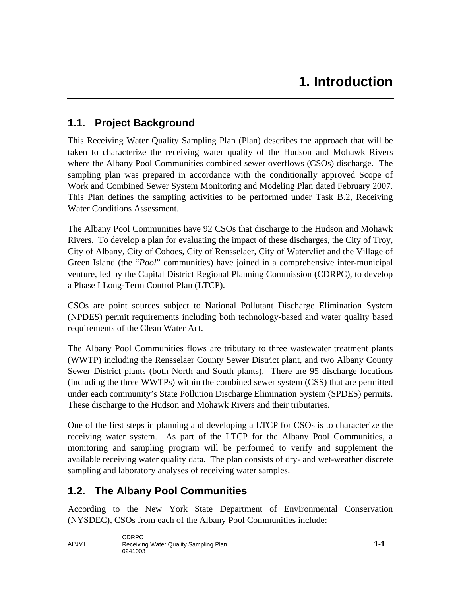### **1.1. Project Background**

This Receiving Water Quality Sampling Plan (Plan) describes the approach that will be taken to characterize the receiving water quality of the Hudson and Mohawk Rivers where the Albany Pool Communities combined sewer overflows (CSOs) discharge. The sampling plan was prepared in accordance with the conditionally approved Scope of Work and Combined Sewer System Monitoring and Modeling Plan dated February 2007. This Plan defines the sampling activities to be performed under Task B.2, Receiving Water Conditions Assessment.

The Albany Pool Communities have 92 CSOs that discharge to the Hudson and Mohawk Rivers. To develop a plan for evaluating the impact of these discharges, the City of Troy, City of Albany, City of Cohoes, City of Rensselaer, City of Watervliet and the Village of Green Island (the "*Pool*" communities) have joined in a comprehensive inter-municipal venture, led by the Capital District Regional Planning Commission (CDRPC), to develop a Phase I Long-Term Control Plan (LTCP).

CSOs are point sources subject to National Pollutant Discharge Elimination System (NPDES) permit requirements including both technology-based and water quality based requirements of the Clean Water Act.

The Albany Pool Communities flows are tributary to three wastewater treatment plants (WWTP) including the Rensselaer County Sewer District plant, and two Albany County Sewer District plants (both North and South plants). There are 95 discharge locations (including the three WWTPs) within the combined sewer system (CSS) that are permitted under each community's State Pollution Discharge Elimination System (SPDES) permits. These discharge to the Hudson and Mohawk Rivers and their tributaries.

One of the first steps in planning and developing a LTCP for CSOs is to characterize the receiving water system. As part of the LTCP for the Albany Pool Communities, a monitoring and sampling program will be performed to verify and supplement the available receiving water quality data. The plan consists of dry- and wet-weather discrete sampling and laboratory analyses of receiving water samples.

#### **1.2. The Albany Pool Communities**

According to the New York State Department of Environmental Conservation (NYSDEC), CSOs from each of the Albany Pool Communities include: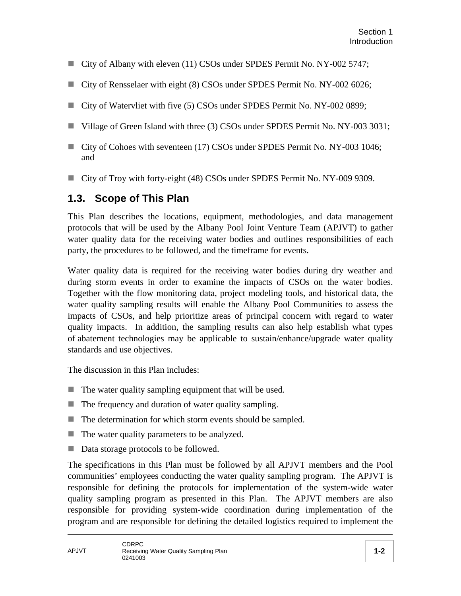- City of Albany with eleven (11) CSOs under SPDES Permit No. NY-002 5747;
- City of Rensselaer with eight (8) CSOs under SPDES Permit No. NY-002 6026;
- City of Watervliet with five (5) CSOs under SPDES Permit No. NY-002 0899;
- Village of Green Island with three (3) CSOs under SPDES Permit No. NY-003 3031;
- City of Cohoes with seventeen (17) CSOs under SPDES Permit No. NY-003 1046; and
- City of Troy with forty-eight (48) CSOs under SPDES Permit No. NY-009 9309.

### **1.3. Scope of This Plan**

This Plan describes the locations, equipment, methodologies, and data management protocols that will be used by the Albany Pool Joint Venture Team (APJVT) to gather water quality data for the receiving water bodies and outlines responsibilities of each party, the procedures to be followed, and the timeframe for events.

Water quality data is required for the receiving water bodies during dry weather and during storm events in order to examine the impacts of CSOs on the water bodies. Together with the flow monitoring data, project modeling tools, and historical data, the water quality sampling results will enable the Albany Pool Communities to assess the impacts of CSOs, and help prioritize areas of principal concern with regard to water quality impacts. In addition, the sampling results can also help establish what types of abatement technologies may be applicable to sustain/enhance/upgrade water quality standards and use objectives.

The discussion in this Plan includes:

- $\blacksquare$  The water quality sampling equipment that will be used.
- $\blacksquare$  The frequency and duration of water quality sampling.
- $\blacksquare$  The determination for which storm events should be sampled.
- $\blacksquare$  The water quality parameters to be analyzed.
- Data storage protocols to be followed.

The specifications in this Plan must be followed by all APJVT members and the Pool communities' employees conducting the water quality sampling program. The APJVT is responsible for defining the protocols for implementation of the system-wide water quality sampling program as presented in this Plan. The APJVT members are also responsible for providing system-wide coordination during implementation of the program and are responsible for defining the detailed logistics required to implement the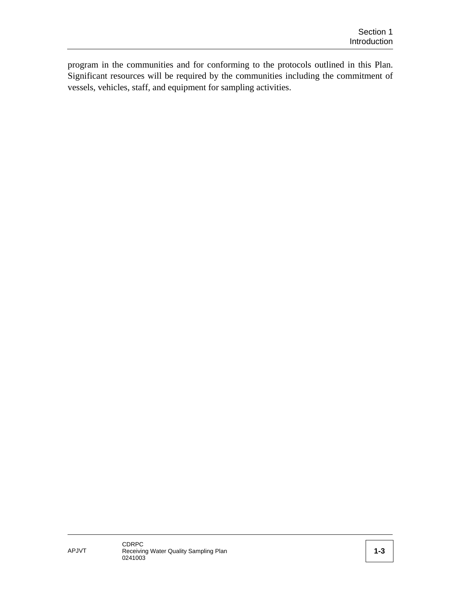program in the communities and for conforming to the protocols outlined in this Plan. Significant resources will be required by the communities including the commitment of vessels, vehicles, staff, and equipment for sampling activities.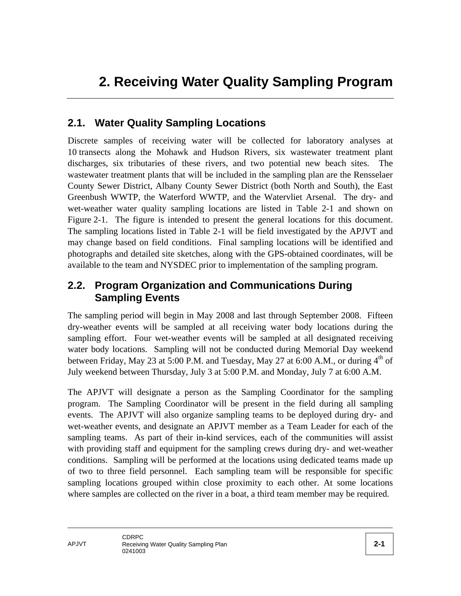### **2.1. Water Quality Sampling Locations**

Discrete samples of receiving water will be collected for laboratory analyses at 10 transects along the Mohawk and Hudson Rivers, six wastewater treatment plant discharges, six tributaries of these rivers, and two potential new beach sites. The wastewater treatment plants that will be included in the sampling plan are the Rensselaer County Sewer District, Albany County Sewer District (both North and South), the East Greenbush WWTP, the Waterford WWTP, and the Watervliet Arsenal. The dry- and wet-weather water quality sampling locations are listed in Table 2-1 and shown on Figure 2-1. The figure is intended to present the general locations for this document. The sampling locations listed in Table 2-1 will be field investigated by the APJVT and may change based on field conditions. Final sampling locations will be identified and photographs and detailed site sketches, along with the GPS-obtained coordinates, will be available to the team and NYSDEC prior to implementation of the sampling program.

### **2.2. Program Organization and Communications During Sampling Events**

The sampling period will begin in May 2008 and last through September 2008. Fifteen dry-weather events will be sampled at all receiving water body locations during the sampling effort. Four wet-weather events will be sampled at all designated receiving water body locations. Sampling will not be conducted during Memorial Day weekend between Friday, May 23 at 5:00 P.M. and Tuesday, May 27 at 6:00 A.M., or during  $4<sup>th</sup>$  of July weekend between Thursday, July 3 at 5:00 P.M. and Monday, July 7 at 6:00 A.M.

The APJVT will designate a person as the Sampling Coordinator for the sampling program. The Sampling Coordinator will be present in the field during all sampling events. The APJVT will also organize sampling teams to be deployed during dry- and wet-weather events, and designate an APJVT member as a Team Leader for each of the sampling teams. As part of their in-kind services, each of the communities will assist with providing staff and equipment for the sampling crews during dry- and wet-weather conditions. Sampling will be performed at the locations using dedicated teams made up of two to three field personnel. Each sampling team will be responsible for specific sampling locations grouped within close proximity to each other. At some locations where samples are collected on the river in a boat, a third team member may be required.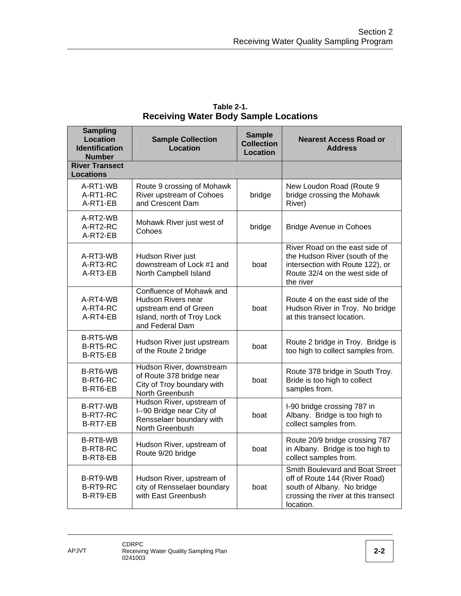| <b>Sampling</b><br><b>Location</b><br><b>Identification</b><br><b>Number</b> | <b>Sample Collection</b><br><b>Location</b>                                                                              | <b>Sample</b><br><b>Collection</b><br><b>Location</b> | <b>Nearest Access Road or</b><br><b>Address</b>                                                                                                     |
|------------------------------------------------------------------------------|--------------------------------------------------------------------------------------------------------------------------|-------------------------------------------------------|-----------------------------------------------------------------------------------------------------------------------------------------------------|
| <b>River Transect</b><br><b>Locations</b>                                    |                                                                                                                          |                                                       |                                                                                                                                                     |
| A-RT1-WB<br>A-RT1-RC<br>A-RT1-EB                                             | Route 9 crossing of Mohawk<br>River upstream of Cohoes<br>and Crescent Dam                                               | bridge                                                | New Loudon Road (Route 9<br>bridge crossing the Mohawk<br>River)                                                                                    |
| A-RT2-WB<br>A-RT2-RC<br>A-RT2-EB                                             | Mohawk River just west of<br>Cohoes                                                                                      | bridge                                                | <b>Bridge Avenue in Cohoes</b>                                                                                                                      |
| A-RT3-WB<br>A-RT3-RC<br>A-RT3-EB                                             | Hudson River just<br>downstream of Lock #1 and<br>North Campbell Island                                                  | boat                                                  | River Road on the east side of<br>the Hudson River (south of the<br>intersection with Route 122), or<br>Route 32/4 on the west side of<br>the river |
| A-RT4-WB<br>A-RT4-RC<br>A-RT4-EB                                             | Confluence of Mohawk and<br>Hudson Rivers near<br>upstream end of Green<br>Island, north of Troy Lock<br>and Federal Dam | boat                                                  | Route 4 on the east side of the<br>Hudson River in Troy. No bridge<br>at this transect location.                                                    |
| B-RT5-WB<br>B-RT5-RC<br>B-RT5-EB                                             | Hudson River just upstream<br>of the Route 2 bridge                                                                      | boat                                                  | Route 2 bridge in Troy. Bridge is<br>too high to collect samples from.                                                                              |
| B-RT6-WB<br>B-RT6-RC<br>B-RT6-EB                                             | Hudson River, downstream<br>of Route 378 bridge near<br>City of Troy boundary with<br>North Greenbush                    | boat                                                  | Route 378 bridge in South Troy.<br>Bride is too high to collect<br>samples from.                                                                    |
| B-RT7-WB<br>B-RT7-RC<br>B-RT7-EB                                             | Hudson River, upstream of<br>I--90 Bridge near City of<br>Rensselaer boundary with<br>North Greenbush                    | boat                                                  | I-90 bridge crossing 787 in<br>Albany. Bridge is too high to<br>collect samples from.                                                               |
| B-RT8-WB<br>B-RT8-RC<br>B-RT8-EB                                             | Hudson River, upstream of<br>Route 9/20 bridge                                                                           | boat                                                  | Route 20/9 bridge crossing 787<br>in Albany. Bridge is too high to<br>collect samples from.                                                         |
| B-RT9-WB<br>B-RT9-RC<br>B-RT9-EB                                             | Hudson River, upstream of<br>city of Rensselaer boundary<br>with East Greenbush                                          | boat                                                  | Smith Boulevard and Boat Street<br>off of Route 144 (River Road)<br>south of Albany. No bridge<br>crossing the river at this transect<br>location.  |

#### **Table 2-1. Receiving Water Body Sample Locations**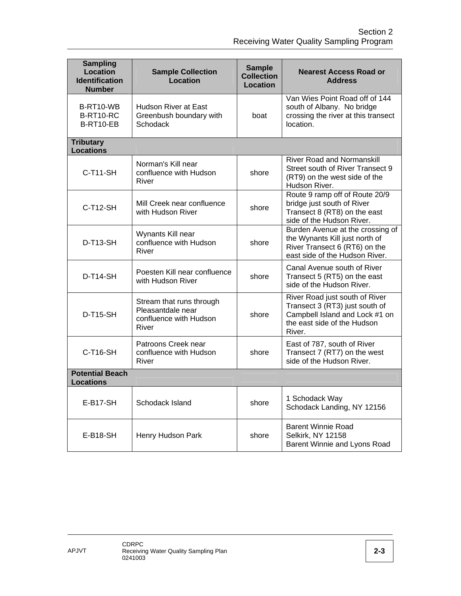| <b>Sampling</b><br><b>Location</b><br><b>Identification</b><br><b>Number</b> | <b>Sample Collection</b><br>Location                                             | <b>Sample</b><br><b>Collection</b><br><b>Location</b> | <b>Nearest Access Road or</b><br><b>Address</b>                                                                                             |
|------------------------------------------------------------------------------|----------------------------------------------------------------------------------|-------------------------------------------------------|---------------------------------------------------------------------------------------------------------------------------------------------|
| B-RT10-WB<br><b>B-RT10-RC</b><br>B-RT10-EB                                   | <b>Hudson River at East</b><br>Greenbush boundary with<br>Schodack               | boat                                                  | Van Wies Point Road off of 144<br>south of Albany. No bridge<br>crossing the river at this transect<br>location.                            |
| <b>Tributary</b><br><b>Locations</b>                                         |                                                                                  |                                                       |                                                                                                                                             |
| $C-T11-SH$                                                                   | Norman's Kill near<br>confluence with Hudson<br>River                            | shore                                                 | <b>River Road and Normanskill</b><br>Street south of River Transect 9<br>(RT9) on the west side of the<br>Hudson River.                     |
| $C-T12-SH$                                                                   | Mill Creek near confluence<br>with Hudson River                                  | shore                                                 | Route 9 ramp off of Route 20/9<br>bridge just south of River<br>Transect 8 (RT8) on the east<br>side of the Hudson River.                   |
| <b>D-T13-SH</b>                                                              | Wynants Kill near<br>confluence with Hudson<br>River                             | shore                                                 | Burden Avenue at the crossing of<br>the Wynants Kill just north of<br>River Transect 6 (RT6) on the<br>east side of the Hudson River.       |
| <b>D-T14-SH</b>                                                              | Poesten Kill near confluence<br>with Hudson River                                | shore                                                 | Canal Avenue south of River<br>Transect 5 (RT5) on the east<br>side of the Hudson River.                                                    |
| <b>D-T15-SH</b>                                                              | Stream that runs through<br>Pleasantdale near<br>confluence with Hudson<br>River | shore                                                 | River Road just south of River<br>Transect 3 (RT3) just south of<br>Campbell Island and Lock #1 on<br>the east side of the Hudson<br>River. |
| $C-T16-SH$                                                                   | Patroons Creek near<br>confluence with Hudson<br>River                           | shore                                                 | East of 787, south of River<br>Transect 7 (RT7) on the west<br>side of the Hudson River.                                                    |
| <b>Potential Beach</b><br><b>Locations</b>                                   |                                                                                  |                                                       |                                                                                                                                             |
| <b>E-B17-SH</b>                                                              | Schodack Island                                                                  | shore                                                 | 1 Schodack Way<br>Schodack Landing, NY 12156                                                                                                |
| E-B18-SH                                                                     | Henry Hudson Park                                                                | shore                                                 | <b>Barent Winnie Road</b><br>Selkirk, NY 12158<br>Barent Winnie and Lyons Road                                                              |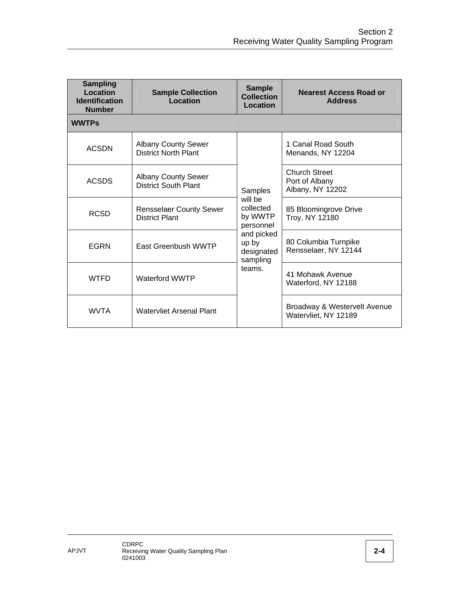| <b>Sampling</b><br>Location<br><b>Identification</b><br><b>Number</b> | <b>Sample Collection</b><br>Location                      | <b>Sample</b><br><b>Collection</b><br>Location | <b>Nearest Access Road or</b><br><b>Address</b>      |
|-----------------------------------------------------------------------|-----------------------------------------------------------|------------------------------------------------|------------------------------------------------------|
| <b>WWTPs</b>                                                          |                                                           |                                                |                                                      |
| <b>ACSDN</b>                                                          | <b>Albany County Sewer</b><br><b>District North Plant</b> |                                                | 1 Canal Road South<br>Menands, NY 12204              |
| <b>ACSDS</b>                                                          | <b>Albany County Sewer</b><br><b>District South Plant</b> | Samples                                        | Church Street<br>Port of Albany<br>Albany, NY 12202  |
| <b>RCSD</b>                                                           | <b>Rensselaer County Sewer</b><br><b>District Plant</b>   | will he<br>collected<br>by WWTP<br>personnel   | 85 Bloomingrove Drive<br>Troy, NY 12180              |
| <b>EGRN</b>                                                           | East Greenbush WWTP                                       | and picked<br>up by<br>designated<br>sampling  | 80 Columbia Turnpike<br>Rensselaer, NY 12144         |
| <b>WTFD</b>                                                           | <b>Waterford WWTP</b>                                     | teams.                                         | 41 Mohawk Avenue<br>Waterford, NY 12188              |
| <b>WVTA</b>                                                           | Watervliet Arsenal Plant                                  |                                                | Broadway & Westervelt Avenue<br>Watervliet, NY 12189 |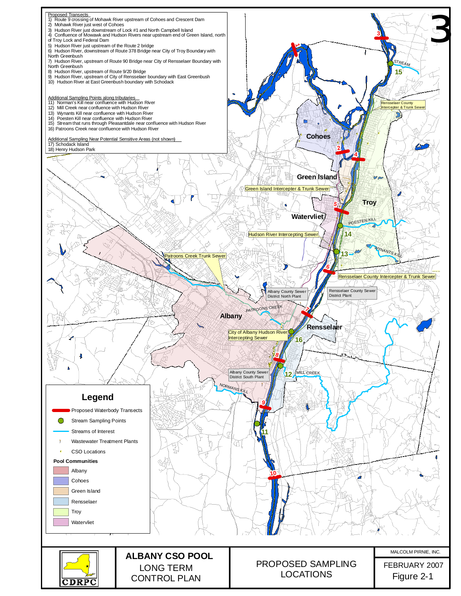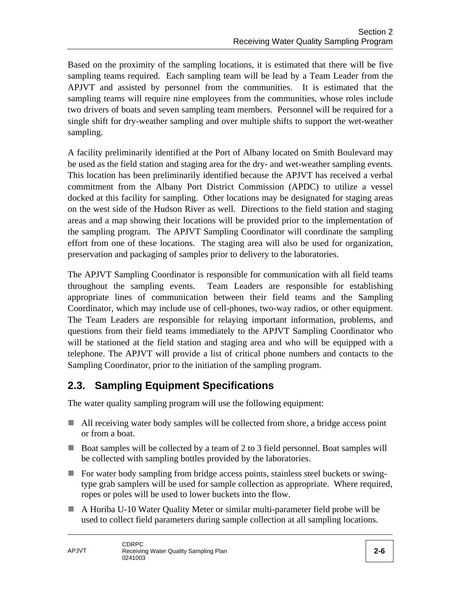Based on the proximity of the sampling locations, it is estimated that there will be five sampling teams required. Each sampling team will be lead by a Team Leader from the APJVT and assisted by personnel from the communities. It is estimated that the sampling teams will require nine employees from the communities, whose roles include two drivers of boats and seven sampling team members. Personnel will be required for a single shift for dry-weather sampling and over multiple shifts to support the wet-weather sampling.

A facility preliminarily identified at the Port of Albany located on Smith Boulevard may be used as the field station and staging area for the dry- and wet-weather sampling events. This location has been preliminarily identified because the APJVT has received a verbal commitment from the Albany Port District Commission (APDC) to utilize a vessel docked at this facility for sampling. Other locations may be designated for staging areas on the west side of the Hudson River as well. Directions to the field station and staging areas and a map showing their locations will be provided prior to the implementation of the sampling program. The APJVT Sampling Coordinator will coordinate the sampling effort from one of these locations. The staging area will also be used for organization, preservation and packaging of samples prior to delivery to the laboratories.

The APJVT Sampling Coordinator is responsible for communication with all field teams throughout the sampling events. Team Leaders are responsible for establishing appropriate lines of communication between their field teams and the Sampling Coordinator, which may include use of cell-phones, two-way radios, or other equipment. The Team Leaders are responsible for relaying important information, problems, and questions from their field teams immediately to the APJVT Sampling Coordinator who will be stationed at the field station and staging area and who will be equipped with a telephone. The APJVT will provide a list of critical phone numbers and contacts to the Sampling Coordinator, prior to the initiation of the sampling program.

### **2.3. Sampling Equipment Specifications**

The water quality sampling program will use the following equipment:

- All receiving water body samples will be collected from shore, a bridge access point or from a boat.
- Boat samples will be collected by a team of 2 to 3 field personnel. Boat samples will be collected with sampling bottles provided by the laboratories.
- For water body sampling from bridge access points, stainless steel buckets or swingtype grab samplers will be used for sample collection as appropriate. Where required, ropes or poles will be used to lower buckets into the flow.
- A Horiba U-10 Water Quality Meter or similar multi-parameter field probe will be used to collect field parameters during sample collection at all sampling locations.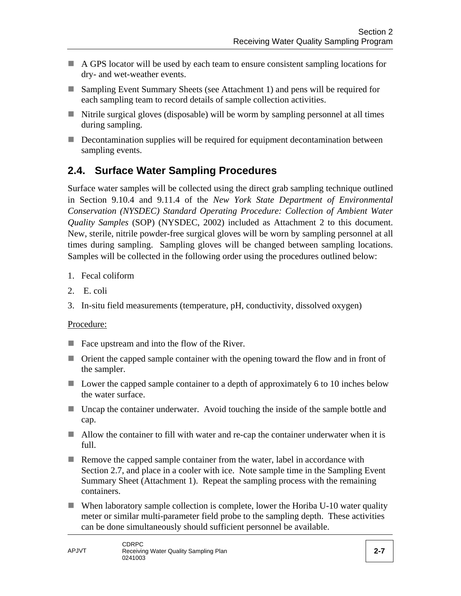- A GPS locator will be used by each team to ensure consistent sampling locations for dry- and wet-weather events.
- Sampling Event Summary Sheets (see Attachment 1) and pens will be required for each sampling team to record details of sample collection activities.
- $\blacksquare$  Nitrile surgical gloves (disposable) will be worm by sampling personnel at all times during sampling.
- Decontamination supplies will be required for equipment decontamination between sampling events.

# **2.4. Surface Water Sampling Procedures**

Surface water samples will be collected using the direct grab sampling technique outlined in Section 9.10.4 and 9.11.4 of the *New York State Department of Environmental Conservation (NYSDEC) Standard Operating Procedure: Collection of Ambient Water Quality Samples* (SOP) (NYSDEC, 2002) included as Attachment 2 to this document. New, sterile, nitrile powder-free surgical gloves will be worn by sampling personnel at all times during sampling. Sampling gloves will be changed between sampling locations. Samples will be collected in the following order using the procedures outlined below:

- 1. Fecal coliform
- 2. E. coli
- 3. In-situ field measurements (temperature, pH, conductivity, dissolved oxygen)

#### Procedure:

- Face upstream and into the flow of the River.
- Orient the capped sample container with the opening toward the flow and in front of the sampler.
- Lower the capped sample container to a depth of approximately 6 to 10 inches below the water surface.
- Uncap the container underwater. Avoid touching the inside of the sample bottle and cap.
- Allow the container to fill with water and re-cap the container underwater when it is full.
- Remove the capped sample container from the water, label in accordance with Section 2.7, and place in a cooler with ice. Note sample time in the Sampling Event Summary Sheet (Attachment 1). Repeat the sampling process with the remaining containers.
- When laboratory sample collection is complete, lower the Horiba U-10 water quality meter or similar multi-parameter field probe to the sampling depth. These activities can be done simultaneously should sufficient personnel be available.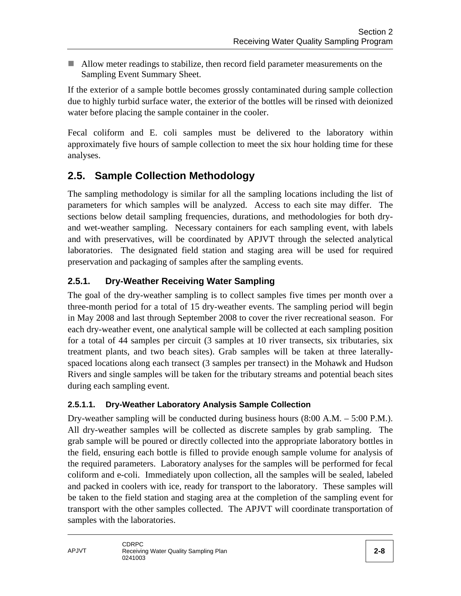Allow meter readings to stabilize, then record field parameter measurements on the Sampling Event Summary Sheet.

If the exterior of a sample bottle becomes grossly contaminated during sample collection due to highly turbid surface water, the exterior of the bottles will be rinsed with deionized water before placing the sample container in the cooler.

Fecal coliform and E. coli samples must be delivered to the laboratory within approximately five hours of sample collection to meet the six hour holding time for these analyses.

### **2.5. Sample Collection Methodology**

The sampling methodology is similar for all the sampling locations including the list of parameters for which samples will be analyzed. Access to each site may differ. The sections below detail sampling frequencies, durations, and methodologies for both dryand wet-weather sampling. Necessary containers for each sampling event, with labels and with preservatives, will be coordinated by APJVT through the selected analytical laboratories. The designated field station and staging area will be used for required preservation and packaging of samples after the sampling events.

### **2.5.1. Dry-Weather Receiving Water Sampling**

The goal of the dry-weather sampling is to collect samples five times per month over a three-month period for a total of 15 dry-weather events. The sampling period will begin in May 2008 and last through September 2008 to cover the river recreational season. For each dry-weather event, one analytical sample will be collected at each sampling position for a total of 44 samples per circuit (3 samples at 10 river transects, six tributaries, six treatment plants, and two beach sites). Grab samples will be taken at three laterallyspaced locations along each transect (3 samples per transect) in the Mohawk and Hudson Rivers and single samples will be taken for the tributary streams and potential beach sites during each sampling event.

#### **2.5.1.1. Dry-Weather Laboratory Analysis Sample Collection**

Dry-weather sampling will be conducted during business hours (8:00 A.M. – 5:00 P.M.). All dry-weather samples will be collected as discrete samples by grab sampling. The grab sample will be poured or directly collected into the appropriate laboratory bottles in the field, ensuring each bottle is filled to provide enough sample volume for analysis of the required parameters. Laboratory analyses for the samples will be performed for fecal coliform and e-coli. Immediately upon collection, all the samples will be sealed, labeled and packed in coolers with ice, ready for transport to the laboratory. These samples will be taken to the field station and staging area at the completion of the sampling event for transport with the other samples collected. The APJVT will coordinate transportation of samples with the laboratories.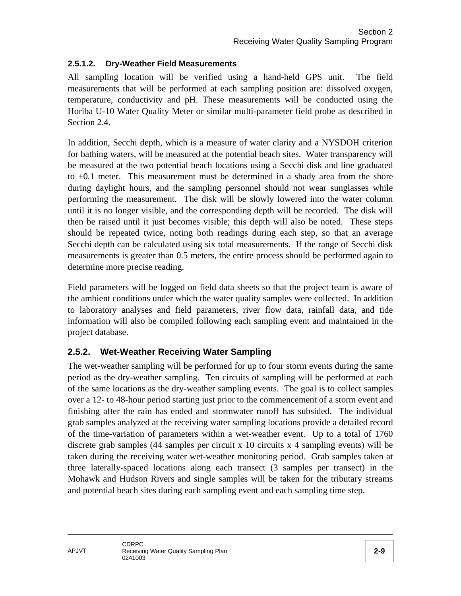#### **2.5.1.2. Dry-Weather Field Measurements**

All sampling location will be verified using a hand-held GPS unit. The field measurements that will be performed at each sampling position are: dissolved oxygen, temperature, conductivity and pH. These measurements will be conducted using the Horiba U-10 Water Quality Meter or similar multi-parameter field probe as described in Section 2.4.

In addition, Secchi depth, which is a measure of water clarity and a NYSDOH criterion for bathing waters, will be measured at the potential beach sites. Water transparency will be measured at the two potential beach locations using a Secchi disk and line graduated to  $\pm 0.1$  meter. This measurement must be determined in a shady area from the shore during daylight hours, and the sampling personnel should not wear sunglasses while performing the measurement. The disk will be slowly lowered into the water column until it is no longer visible, and the corresponding depth will be recorded. The disk will then be raised until it just becomes visible; this depth will also be noted. These steps should be repeated twice, noting both readings during each step, so that an average Secchi depth can be calculated using six total measurements. If the range of Secchi disk measurements is greater than 0.5 meters, the entire process should be performed again to determine more precise reading.

Field parameters will be logged on field data sheets so that the project team is aware of the ambient conditions under which the water quality samples were collected. In addition to laboratory analyses and field parameters, river flow data, rainfall data, and tide information will also be compiled following each sampling event and maintained in the project database.

#### **2.5.2. Wet-Weather Receiving Water Sampling**

The wet-weather sampling will be performed for up to four storm events during the same period as the dry-weather sampling. Ten circuits of sampling will be performed at each of the same locations as the dry-weather sampling events. The goal is to collect samples over a 12- to 48-hour period starting just prior to the commencement of a storm event and finishing after the rain has ended and stormwater runoff has subsided. The individual grab samples analyzed at the receiving water sampling locations provide a detailed record of the time-variation of parameters within a wet-weather event. Up to a total of 1760 discrete grab samples (44 samples per circuit x 10 circuits x 4 sampling events) will be taken during the receiving water wet-weather monitoring period. Grab samples taken at three laterally-spaced locations along each transect (3 samples per transect) in the Mohawk and Hudson Rivers and single samples will be taken for the tributary streams and potential beach sites during each sampling event and each sampling time step.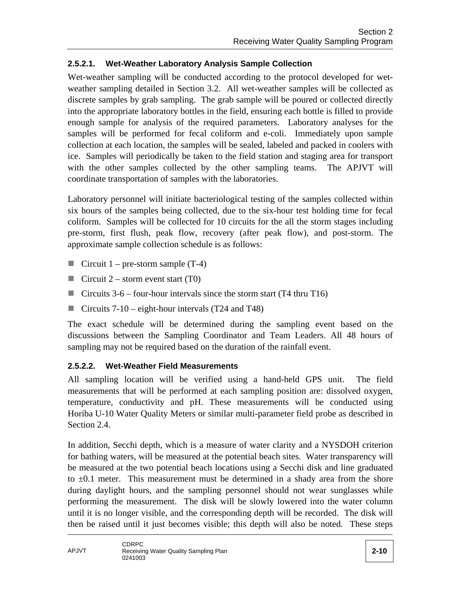#### **2.5.2.1. Wet-Weather Laboratory Analysis Sample Collection**

Wet-weather sampling will be conducted according to the protocol developed for wetweather sampling detailed in Section 3.2. All wet-weather samples will be collected as discrete samples by grab sampling. The grab sample will be poured or collected directly into the appropriate laboratory bottles in the field, ensuring each bottle is filled to provide enough sample for analysis of the required parameters. Laboratory analyses for the samples will be performed for fecal coliform and e-coli. Immediately upon sample collection at each location, the samples will be sealed, labeled and packed in coolers with ice. Samples will periodically be taken to the field station and staging area for transport with the other samples collected by the other sampling teams. The APJVT will coordinate transportation of samples with the laboratories.

Laboratory personnel will initiate bacteriological testing of the samples collected within six hours of the samples being collected, due to the six-hour test holding time for fecal coliform. Samples will be collected for 10 circuits for the all the storm stages including pre-storm, first flush, peak flow, recovery (after peak flow), and post-storm. The approximate sample collection schedule is as follows:

- Circuit  $1$  pre-storm sample (T-4)
- Circuit  $2 -$  storm event start (T0)
- Circuits  $3-6$  four-hour intervals since the storm start (T4 thru T16)
- Circuits  $7-10$  eight-hour intervals (T24 and T48)

The exact schedule will be determined during the sampling event based on the discussions between the Sampling Coordinator and Team Leaders. All 48 hours of sampling may not be required based on the duration of the rainfall event.

#### **2.5.2.2. Wet-Weather Field Measurements**

All sampling location will be verified using a hand-held GPS unit. The field measurements that will be performed at each sampling position are: dissolved oxygen, temperature, conductivity and pH. These measurements will be conducted using Horiba U-10 Water Quality Meters or similar multi-parameter field probe as described in Section 2.4.

In addition, Secchi depth, which is a measure of water clarity and a NYSDOH criterion for bathing waters, will be measured at the potential beach sites. Water transparency will be measured at the two potential beach locations using a Secchi disk and line graduated to  $\pm 0.1$  meter. This measurement must be determined in a shady area from the shore during daylight hours, and the sampling personnel should not wear sunglasses while performing the measurement. The disk will be slowly lowered into the water column until it is no longer visible, and the corresponding depth will be recorded. The disk will then be raised until it just becomes visible; this depth will also be noted. These steps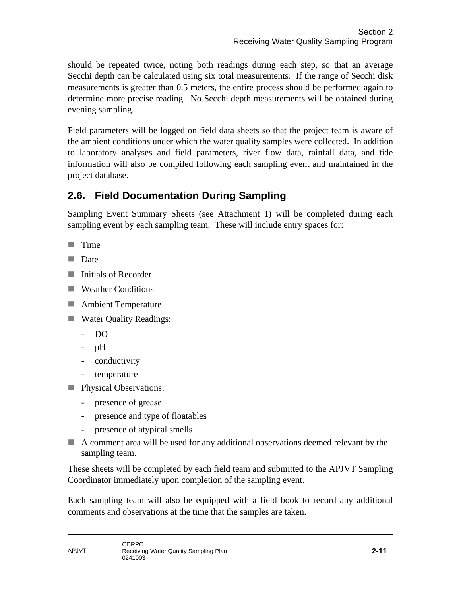should be repeated twice, noting both readings during each step, so that an average Secchi depth can be calculated using six total measurements. If the range of Secchi disk measurements is greater than 0.5 meters, the entire process should be performed again to determine more precise reading. No Secchi depth measurements will be obtained during evening sampling.

Field parameters will be logged on field data sheets so that the project team is aware of the ambient conditions under which the water quality samples were collected. In addition to laboratory analyses and field parameters, river flow data, rainfall data, and tide information will also be compiled following each sampling event and maintained in the project database.

# **2.6. Field Documentation During Sampling**

Sampling Event Summary Sheets (see Attachment 1) will be completed during each sampling event by each sampling team. These will include entry spaces for:

- $\blacksquare$  Time
- **Date**
- **Initials of Recorder**
- Weather Conditions
- **Ambient Temperature**
- Water Quality Readings:
	- DO
	- pH
	- conductivity
	- temperature
- **Physical Observations:** 
	- presence of grease
	- presence and type of floatables
	- presence of atypical smells
- A comment area will be used for any additional observations deemed relevant by the sampling team.

These sheets will be completed by each field team and submitted to the APJVT Sampling Coordinator immediately upon completion of the sampling event.

Each sampling team will also be equipped with a field book to record any additional comments and observations at the time that the samples are taken.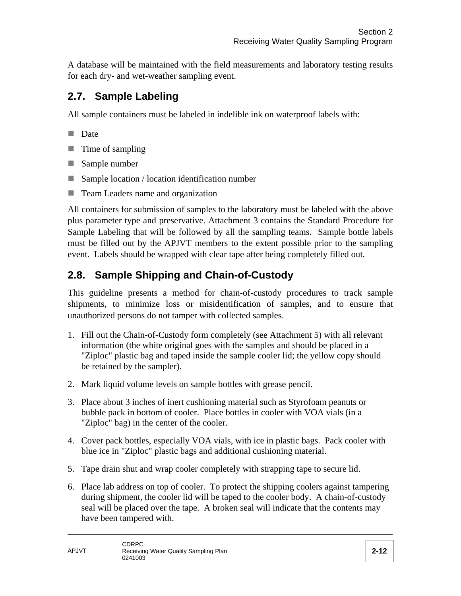A database will be maintained with the field measurements and laboratory testing results for each dry- and wet-weather sampling event.

# **2.7. Sample Labeling**

All sample containers must be labeled in indelible ink on waterproof labels with:

- Date
- $\blacksquare$  Time of sampling
- Sample number
- Sample location / location identification number
- Team Leaders name and organization

All containers for submission of samples to the laboratory must be labeled with the above plus parameter type and preservative. Attachment 3 contains the Standard Procedure for Sample Labeling that will be followed by all the sampling teams. Sample bottle labels must be filled out by the APJVT members to the extent possible prior to the sampling event. Labels should be wrapped with clear tape after being completely filled out.

# **2.8. Sample Shipping and Chain-of-Custody**

This guideline presents a method for chain-of-custody procedures to track sample shipments, to minimize loss or misidentification of samples, and to ensure that unauthorized persons do not tamper with collected samples.

- 1. Fill out the Chain-of-Custody form completely (see Attachment 5) with all relevant information (the white original goes with the samples and should be placed in a "Ziploc" plastic bag and taped inside the sample cooler lid; the yellow copy should be retained by the sampler).
- 2. Mark liquid volume levels on sample bottles with grease pencil.
- 3. Place about 3 inches of inert cushioning material such as Styrofoam peanuts or bubble pack in bottom of cooler. Place bottles in cooler with VOA vials (in a "Ziploc" bag) in the center of the cooler.
- 4. Cover pack bottles, especially VOA vials, with ice in plastic bags. Pack cooler with blue ice in "Ziploc" plastic bags and additional cushioning material.
- 5. Tape drain shut and wrap cooler completely with strapping tape to secure lid.
- 6. Place lab address on top of cooler. To protect the shipping coolers against tampering during shipment, the cooler lid will be taped to the cooler body. A chain-of-custody seal will be placed over the tape. A broken seal will indicate that the contents may have been tampered with.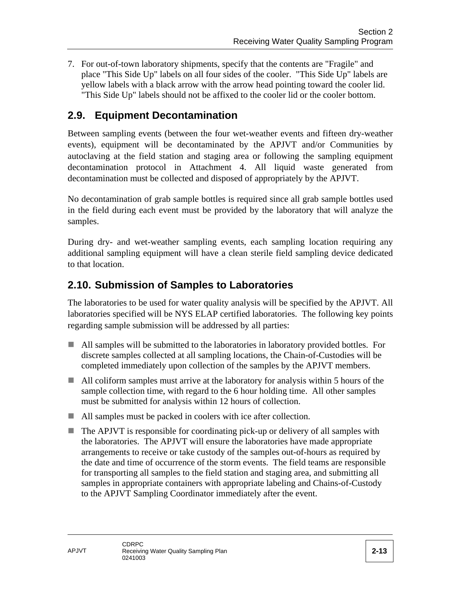7. For out-of-town laboratory shipments, specify that the contents are "Fragile" and place "This Side Up" labels on all four sides of the cooler. "This Side Up" labels are yellow labels with a black arrow with the arrow head pointing toward the cooler lid. "This Side Up" labels should not be affixed to the cooler lid or the cooler bottom.

### **2.9. Equipment Decontamination**

Between sampling events (between the four wet-weather events and fifteen dry-weather events), equipment will be decontaminated by the APJVT and/or Communities by autoclaving at the field station and staging area or following the sampling equipment decontamination protocol in Attachment 4. All liquid waste generated from decontamination must be collected and disposed of appropriately by the APJVT.

No decontamination of grab sample bottles is required since all grab sample bottles used in the field during each event must be provided by the laboratory that will analyze the samples.

During dry- and wet-weather sampling events, each sampling location requiring any additional sampling equipment will have a clean sterile field sampling device dedicated to that location.

### **2.10. Submission of Samples to Laboratories**

The laboratories to be used for water quality analysis will be specified by the APJVT. All laboratories specified will be NYS ELAP certified laboratories. The following key points regarding sample submission will be addressed by all parties:

- All samples will be submitted to the laboratories in laboratory provided bottles. For discrete samples collected at all sampling locations, the Chain-of-Custodies will be completed immediately upon collection of the samples by the APJVT members.
- All coliform samples must arrive at the laboratory for analysis within 5 hours of the sample collection time, with regard to the 6 hour holding time. All other samples must be submitted for analysis within 12 hours of collection.
- All samples must be packed in coolers with ice after collection.
- The APJVT is responsible for coordinating pick-up or delivery of all samples with the laboratories. The APJVT will ensure the laboratories have made appropriate arrangements to receive or take custody of the samples out-of-hours as required by the date and time of occurrence of the storm events. The field teams are responsible for transporting all samples to the field station and staging area, and submitting all samples in appropriate containers with appropriate labeling and Chains-of-Custody to the APJVT Sampling Coordinator immediately after the event.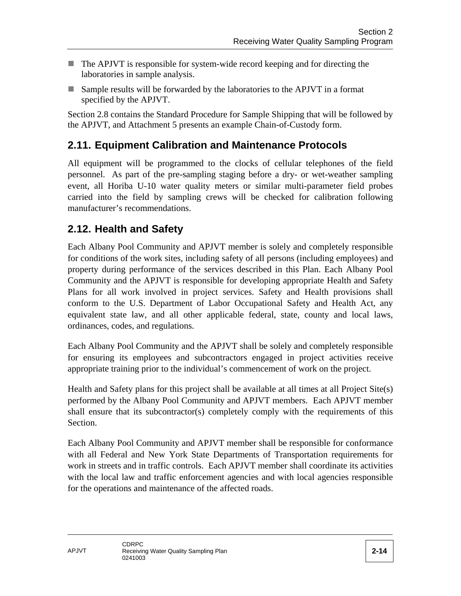- The APJVT is responsible for system-wide record keeping and for directing the laboratories in sample analysis.
- Sample results will be forwarded by the laboratories to the APJVT in a format specified by the APJVT.

Section 2.8 contains the Standard Procedure for Sample Shipping that will be followed by the APJVT, and Attachment 5 presents an example Chain-of-Custody form.

### **2.11. Equipment Calibration and Maintenance Protocols**

All equipment will be programmed to the clocks of cellular telephones of the field personnel. As part of the pre-sampling staging before a dry- or wet-weather sampling event, all Horiba U-10 water quality meters or similar multi-parameter field probes carried into the field by sampling crews will be checked for calibration following manufacturer's recommendations.

### **2.12. Health and Safety**

Each Albany Pool Community and APJVT member is solely and completely responsible for conditions of the work sites, including safety of all persons (including employees) and property during performance of the services described in this Plan. Each Albany Pool Community and the APJVT is responsible for developing appropriate Health and Safety Plans for all work involved in project services. Safety and Health provisions shall conform to the U.S. Department of Labor Occupational Safety and Health Act, any equivalent state law, and all other applicable federal, state, county and local laws, ordinances, codes, and regulations.

Each Albany Pool Community and the APJVT shall be solely and completely responsible for ensuring its employees and subcontractors engaged in project activities receive appropriate training prior to the individual's commencement of work on the project.

Health and Safety plans for this project shall be available at all times at all Project Site(s) performed by the Albany Pool Community and APJVT members. Each APJVT member shall ensure that its subcontractor(s) completely comply with the requirements of this Section.

Each Albany Pool Community and APJVT member shall be responsible for conformance with all Federal and New York State Departments of Transportation requirements for work in streets and in traffic controls. Each APJVT member shall coordinate its activities with the local law and traffic enforcement agencies and with local agencies responsible for the operations and maintenance of the affected roads.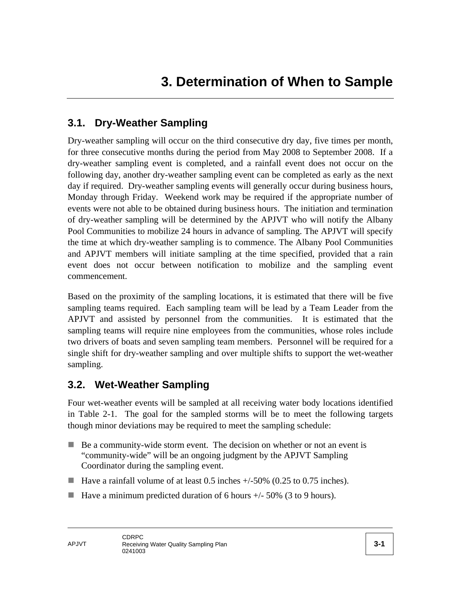### **3.1. Dry-Weather Sampling**

Dry-weather sampling will occur on the third consecutive dry day, five times per month, for three consecutive months during the period from May 2008 to September 2008. If a dry-weather sampling event is completed, and a rainfall event does not occur on the following day, another dry-weather sampling event can be completed as early as the next day if required. Dry-weather sampling events will generally occur during business hours, Monday through Friday. Weekend work may be required if the appropriate number of events were not able to be obtained during business hours. The initiation and termination of dry-weather sampling will be determined by the APJVT who will notify the Albany Pool Communities to mobilize 24 hours in advance of sampling. The APJVT will specify the time at which dry-weather sampling is to commence. The Albany Pool Communities and APJVT members will initiate sampling at the time specified, provided that a rain event does not occur between notification to mobilize and the sampling event commencement.

Based on the proximity of the sampling locations, it is estimated that there will be five sampling teams required. Each sampling team will be lead by a Team Leader from the APJVT and assisted by personnel from the communities. It is estimated that the sampling teams will require nine employees from the communities, whose roles include two drivers of boats and seven sampling team members. Personnel will be required for a single shift for dry-weather sampling and over multiple shifts to support the wet-weather sampling.

#### **3.2. Wet-Weather Sampling**

Four wet-weather events will be sampled at all receiving water body locations identified in Table 2-1. The goal for the sampled storms will be to meet the following targets though minor deviations may be required to meet the sampling schedule:

- Be a community-wide storm event. The decision on whether or not an event is "community-wide" will be an ongoing judgment by the APJVT Sampling Coordinator during the sampling event.
- Have a rainfall volume of at least 0.5 inches  $+/-50\%$  (0.25 to 0.75 inches).
- Have a minimum predicted duration of 6 hours  $+/-50\%$  (3 to 9 hours).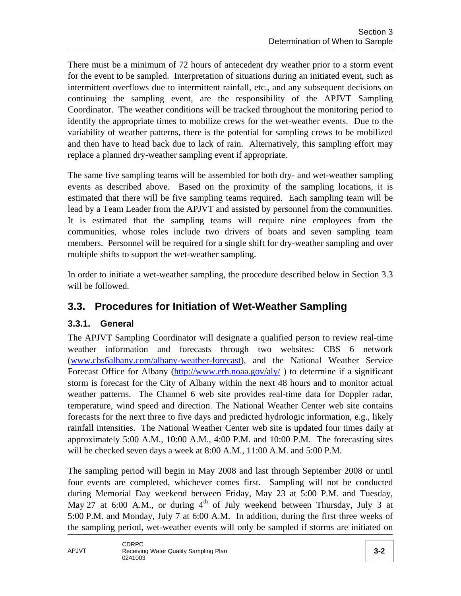There must be a minimum of 72 hours of antecedent dry weather prior to a storm event for the event to be sampled. Interpretation of situations during an initiated event, such as intermittent overflows due to intermittent rainfall, etc., and any subsequent decisions on continuing the sampling event, are the responsibility of the APJVT Sampling Coordinator. The weather conditions will be tracked throughout the monitoring period to identify the appropriate times to mobilize crews for the wet-weather events. Due to the variability of weather patterns, there is the potential for sampling crews to be mobilized and then have to head back due to lack of rain. Alternatively, this sampling effort may replace a planned dry-weather sampling event if appropriate.

The same five sampling teams will be assembled for both dry- and wet-weather sampling events as described above. Based on the proximity of the sampling locations, it is estimated that there will be five sampling teams required. Each sampling team will be lead by a Team Leader from the APJVT and assisted by personnel from the communities. It is estimated that the sampling teams will require nine employees from the communities, whose roles include two drivers of boats and seven sampling team members. Personnel will be required for a single shift for dry-weather sampling and over multiple shifts to support the wet-weather sampling.

In order to initiate a wet-weather sampling, the procedure described below in Section 3.3 will be followed.

### **3.3. Procedures for Initiation of Wet-Weather Sampling**

#### **3.3.1. General**

The APJVT Sampling Coordinator will designate a qualified person to review real-time weather information and forecasts through two websites: CBS 6 network (www.cbs6albany.com/albany-weather-forecast), and the National Weather Service Forecast Office for Albany (http://www.erh.noaa.gov/aly/) to determine if a significant storm is forecast for the City of Albany within the next 48 hours and to monitor actual weather patterns. The Channel 6 web site provides real-time data for Doppler radar, temperature, wind speed and direction. The National Weather Center web site contains forecasts for the next three to five days and predicted hydrologic information, e.g., likely rainfall intensities. The National Weather Center web site is updated four times daily at approximately 5:00 A.M., 10:00 A.M., 4:00 P.M. and 10:00 P.M. The forecasting sites will be checked seven days a week at 8:00 A.M., 11:00 A.M. and 5:00 P.M.

The sampling period will begin in May 2008 and last through September 2008 or until four events are completed, whichever comes first. Sampling will not be conducted during Memorial Day weekend between Friday, May 23 at 5:00 P.M. and Tuesday, May 27 at 6:00 A.M., or during  $4<sup>th</sup>$  of July weekend between Thursday, July 3 at 5:00 P.M. and Monday, July 7 at 6:00 A.M. In addition, during the first three weeks of the sampling period, wet-weather events will only be sampled if storms are initiated on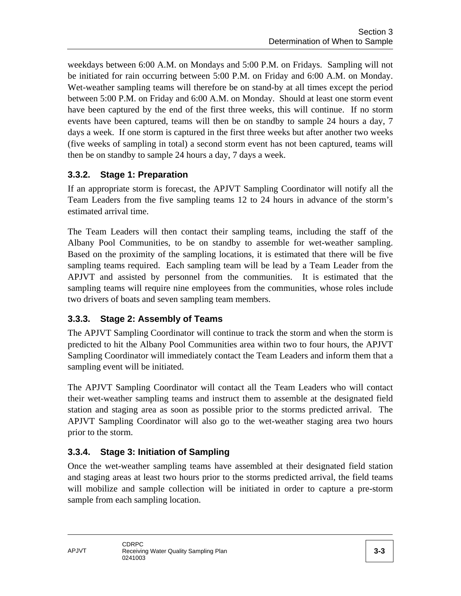weekdays between 6:00 A.M. on Mondays and 5:00 P.M. on Fridays. Sampling will not be initiated for rain occurring between 5:00 P.M. on Friday and 6:00 A.M. on Monday. Wet-weather sampling teams will therefore be on stand-by at all times except the period between 5:00 P.M. on Friday and 6:00 A.M. on Monday. Should at least one storm event have been captured by the end of the first three weeks, this will continue. If no storm events have been captured, teams will then be on standby to sample 24 hours a day, 7 days a week. If one storm is captured in the first three weeks but after another two weeks (five weeks of sampling in total) a second storm event has not been captured, teams will then be on standby to sample 24 hours a day, 7 days a week.

#### **3.3.2. Stage 1: Preparation**

If an appropriate storm is forecast, the APJVT Sampling Coordinator will notify all the Team Leaders from the five sampling teams 12 to 24 hours in advance of the storm's estimated arrival time.

The Team Leaders will then contact their sampling teams, including the staff of the Albany Pool Communities, to be on standby to assemble for wet-weather sampling. Based on the proximity of the sampling locations, it is estimated that there will be five sampling teams required. Each sampling team will be lead by a Team Leader from the APJVT and assisted by personnel from the communities. It is estimated that the sampling teams will require nine employees from the communities, whose roles include two drivers of boats and seven sampling team members.

#### **3.3.3. Stage 2: Assembly of Teams**

The APJVT Sampling Coordinator will continue to track the storm and when the storm is predicted to hit the Albany Pool Communities area within two to four hours, the APJVT Sampling Coordinator will immediately contact the Team Leaders and inform them that a sampling event will be initiated.

The APJVT Sampling Coordinator will contact all the Team Leaders who will contact their wet-weather sampling teams and instruct them to assemble at the designated field station and staging area as soon as possible prior to the storms predicted arrival. The APJVT Sampling Coordinator will also go to the wet-weather staging area two hours prior to the storm.

#### **3.3.4. Stage 3: Initiation of Sampling**

Once the wet-weather sampling teams have assembled at their designated field station and staging areas at least two hours prior to the storms predicted arrival, the field teams will mobilize and sample collection will be initiated in order to capture a pre-storm sample from each sampling location.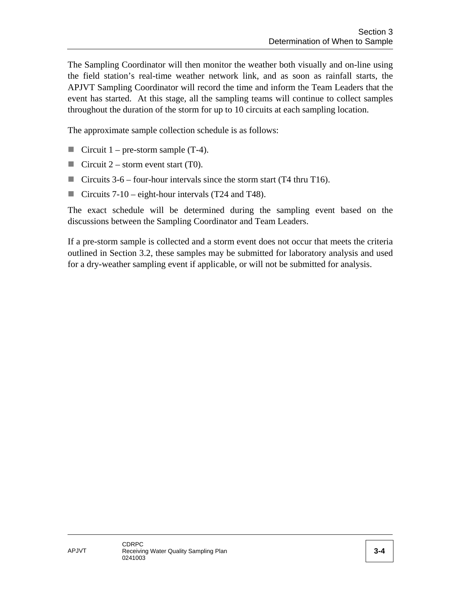The Sampling Coordinator will then monitor the weather both visually and on-line using the field station's real-time weather network link, and as soon as rainfall starts, the APJVT Sampling Coordinator will record the time and inform the Team Leaders that the event has started. At this stage, all the sampling teams will continue to collect samples throughout the duration of the storm for up to 10 circuits at each sampling location.

The approximate sample collection schedule is as follows:

- **Circuit 1** pre-storm sample  $(T-4)$ .
- Circuit 2 storm event start (T0).
- Circuits  $3-6$  four-hour intervals since the storm start (T4 thru T16).
- Circuits  $7-10$  eight-hour intervals (T24 and T48).

The exact schedule will be determined during the sampling event based on the discussions between the Sampling Coordinator and Team Leaders.

If a pre-storm sample is collected and a storm event does not occur that meets the criteria outlined in Section 3.2, these samples may be submitted for laboratory analysis and used for a dry-weather sampling event if applicable, or will not be submitted for analysis.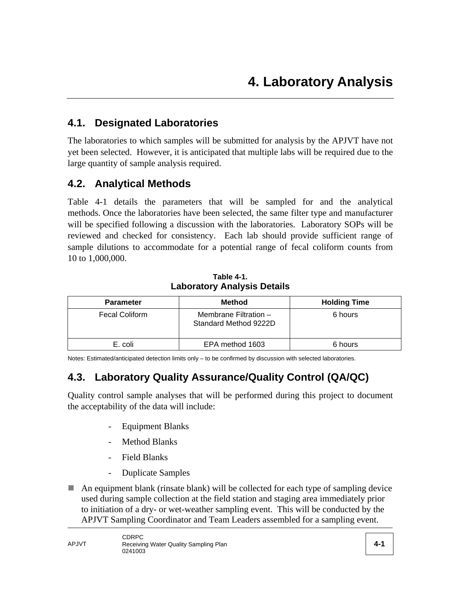### **4.1. Designated Laboratories**

The laboratories to which samples will be submitted for analysis by the APJVT have not yet been selected. However, it is anticipated that multiple labs will be required due to the large quantity of sample analysis required.

#### **4.2. Analytical Methods**

Table 4-1 details the parameters that will be sampled for and the analytical methods. Once the laboratories have been selected, the same filter type and manufacturer will be specified following a discussion with the laboratories. Laboratory SOPs will be reviewed and checked for consistency. Each lab should provide sufficient range of sample dilutions to accommodate for a potential range of fecal coliform counts from 10 to 1,000,000.

**Table 4-1. Laboratory Analysis Details** 

| <b>Parameter</b>      | <b>Method</b>                                  | <b>Holding Time</b> |
|-----------------------|------------------------------------------------|---------------------|
| <b>Fecal Coliform</b> | Membrane Filtration -<br>Standard Method 9222D | 6 hours             |
| E. coli               | EPA method 1603                                | 6 hours             |

Notes: Estimated/anticipated detection limits only – to be confirmed by discussion with selected laboratories.

### **4.3. Laboratory Quality Assurance/Quality Control (QA/QC)**

Quality control sample analyses that will be performed during this project to document the acceptability of the data will include:

- Equipment Blanks
- Method Blanks
- Field Blanks
- Duplicate Samples
- $\blacksquare$  An equipment blank (rinsate blank) will be collected for each type of sampling device used during sample collection at the field station and staging area immediately prior to initiation of a dry- or wet-weather sampling event. This will be conducted by the APJVT Sampling Coordinator and Team Leaders assembled for a sampling event.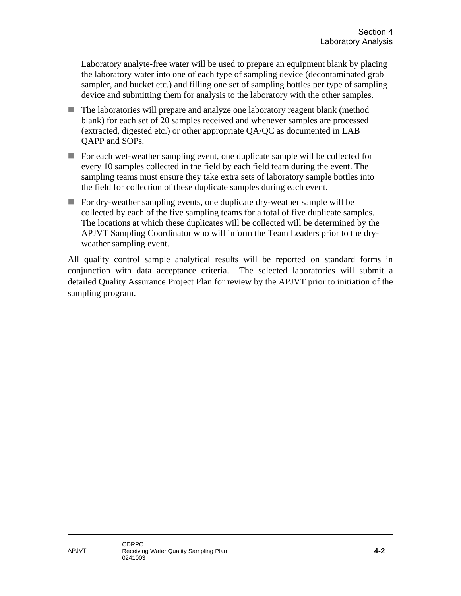Laboratory analyte-free water will be used to prepare an equipment blank by placing the laboratory water into one of each type of sampling device (decontaminated grab sampler, and bucket etc.) and filling one set of sampling bottles per type of sampling device and submitting them for analysis to the laboratory with the other samples.

- The laboratories will prepare and analyze one laboratory reagent blank (method blank) for each set of 20 samples received and whenever samples are processed (extracted, digested etc.) or other appropriate QA/QC as documented in LAB QAPP and SOPs.
- For each wet-weather sampling event, one duplicate sample will be collected for every 10 samples collected in the field by each field team during the event. The sampling teams must ensure they take extra sets of laboratory sample bottles into the field for collection of these duplicate samples during each event.
- For dry-weather sampling events, one duplicate dry-weather sample will be collected by each of the five sampling teams for a total of five duplicate samples. The locations at which these duplicates will be collected will be determined by the APJVT Sampling Coordinator who will inform the Team Leaders prior to the dryweather sampling event.

All quality control sample analytical results will be reported on standard forms in conjunction with data acceptance criteria. The selected laboratories will submit a detailed Quality Assurance Project Plan for review by the APJVT prior to initiation of the sampling program.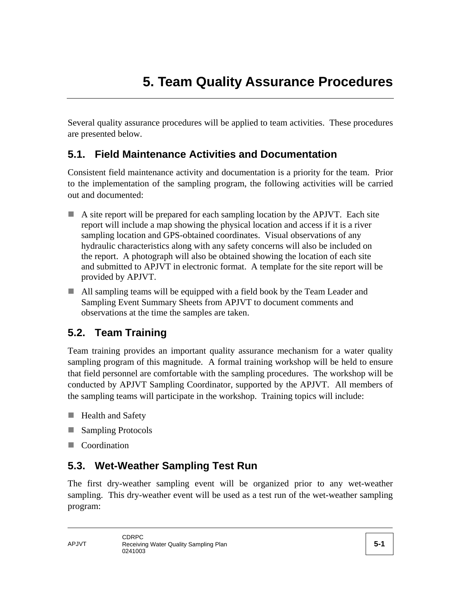Several quality assurance procedures will be applied to team activities. These procedures are presented below.

### **5.1. Field Maintenance Activities and Documentation**

Consistent field maintenance activity and documentation is a priority for the team. Prior to the implementation of the sampling program, the following activities will be carried out and documented:

- A site report will be prepared for each sampling location by the APJVT. Each site report will include a map showing the physical location and access if it is a river sampling location and GPS-obtained coordinates. Visual observations of any hydraulic characteristics along with any safety concerns will also be included on the report. A photograph will also be obtained showing the location of each site and submitted to APJVT in electronic format. A template for the site report will be provided by APJVT.
- All sampling teams will be equipped with a field book by the Team Leader and Sampling Event Summary Sheets from APJVT to document comments and observations at the time the samples are taken.

### **5.2. Team Training**

Team training provides an important quality assurance mechanism for a water quality sampling program of this magnitude. A formal training workshop will be held to ensure that field personnel are comfortable with the sampling procedures. The workshop will be conducted by APJVT Sampling Coordinator, supported by the APJVT. All members of the sampling teams will participate in the workshop. Training topics will include:

- **Health and Safety**
- Sampling Protocols
- **Coordination**

### **5.3. Wet-Weather Sampling Test Run**

The first dry-weather sampling event will be organized prior to any wet-weather sampling. This dry-weather event will be used as a test run of the wet-weather sampling program: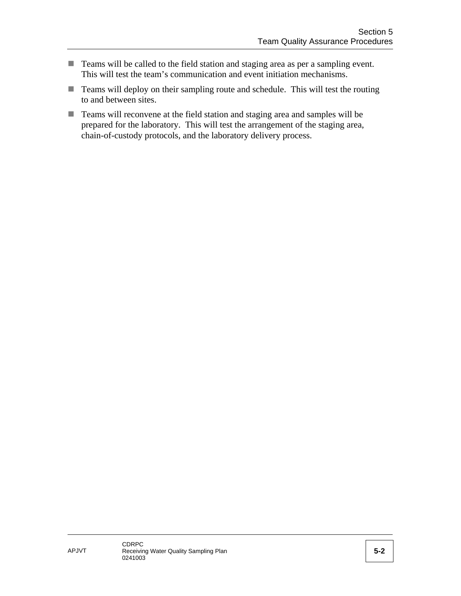- Teams will be called to the field station and staging area as per a sampling event. This will test the team's communication and event initiation mechanisms.
- Teams will deploy on their sampling route and schedule. This will test the routing to and between sites.
- Teams will reconvene at the field station and staging area and samples will be prepared for the laboratory. This will test the arrangement of the staging area, chain-of-custody protocols, and the laboratory delivery process.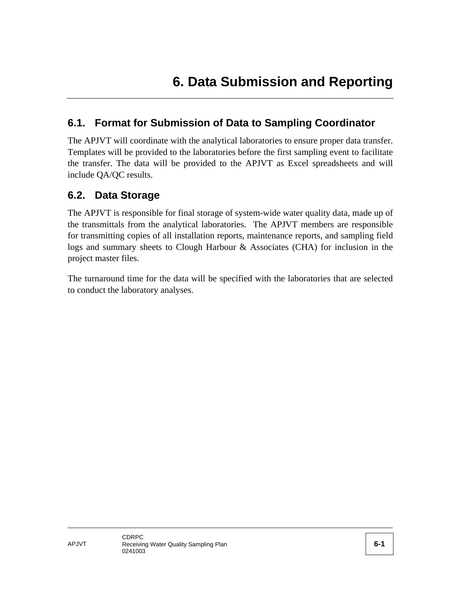### **6.1. Format for Submission of Data to Sampling Coordinator**

The APJVT will coordinate with the analytical laboratories to ensure proper data transfer. Templates will be provided to the laboratories before the first sampling event to facilitate the transfer. The data will be provided to the APJVT as Excel spreadsheets and will include QA/QC results.

#### **6.2. Data Storage**

The APJVT is responsible for final storage of system-wide water quality data, made up of the transmittals from the analytical laboratories. The APJVT members are responsible for transmitting copies of all installation reports, maintenance reports, and sampling field logs and summary sheets to Clough Harbour & Associates (CHA) for inclusion in the project master files.

The turnaround time for the data will be specified with the laboratories that are selected to conduct the laboratory analyses.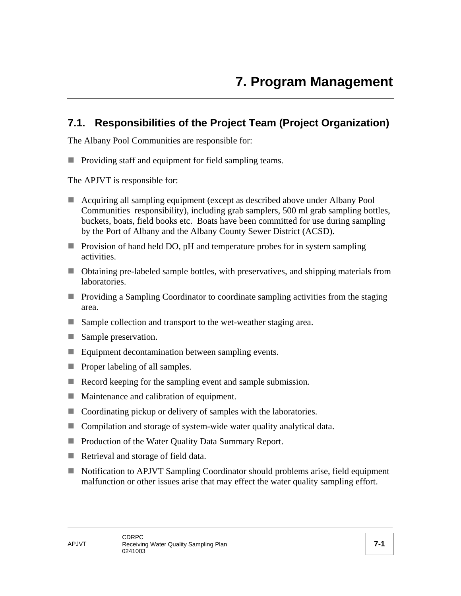### **7.1. Responsibilities of the Project Team (Project Organization)**

The Albany Pool Communities are responsible for:

**Providing staff and equipment for field sampling teams.** 

The APJVT is responsible for:

- Acquiring all sampling equipment (except as described above under Albany Pool Communities responsibility), including grab samplers, 500 ml grab sampling bottles, buckets, boats, field books etc. Boats have been committed for use during sampling by the Port of Albany and the Albany County Sewer District (ACSD).
- **Provision of hand held DO, pH and temperature probes for in system sampling** activities.
- Obtaining pre-labeled sample bottles, with preservatives, and shipping materials from laboratories.
- **Providing a Sampling Coordinator to coordinate sampling activities from the staging** area.
- Sample collection and transport to the wet-weather staging area.
- Sample preservation.
- Equipment decontamination between sampling events.
- $\blacksquare$  Proper labeling of all samples.
- Record keeping for the sampling event and sample submission.
- **Maintenance and calibration of equipment.**
- Coordinating pickup or delivery of samples with the laboratories.
- Compilation and storage of system-wide water quality analytical data.
- **Production of the Water Quality Data Summary Report.**
- Retrieval and storage of field data.
- Notification to APJVT Sampling Coordinator should problems arise, field equipment malfunction or other issues arise that may effect the water quality sampling effort.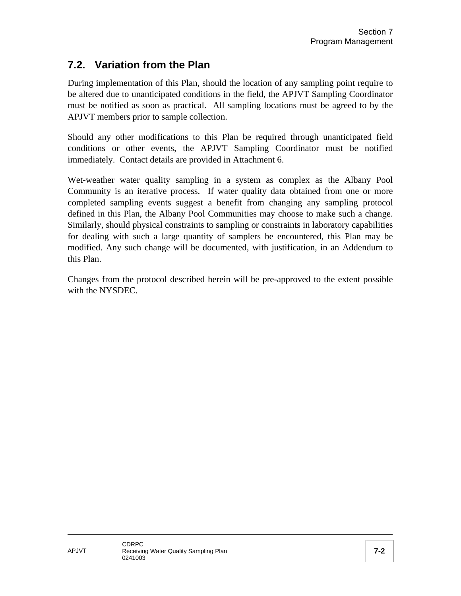## **7.2. Variation from the Plan**

During implementation of this Plan, should the location of any sampling point require to be altered due to unanticipated conditions in the field, the APJVT Sampling Coordinator must be notified as soon as practical. All sampling locations must be agreed to by the APJVT members prior to sample collection.

Should any other modifications to this Plan be required through unanticipated field conditions or other events, the APJVT Sampling Coordinator must be notified immediately. Contact details are provided in Attachment 6.

Wet-weather water quality sampling in a system as complex as the Albany Pool Community is an iterative process. If water quality data obtained from one or more completed sampling events suggest a benefit from changing any sampling protocol defined in this Plan, the Albany Pool Communities may choose to make such a change. Similarly, should physical constraints to sampling or constraints in laboratory capabilities for dealing with such a large quantity of samplers be encountered, this Plan may be modified. Any such change will be documented, with justification, in an Addendum to this Plan.

Changes from the protocol described herein will be pre-approved to the extent possible with the NYSDEC.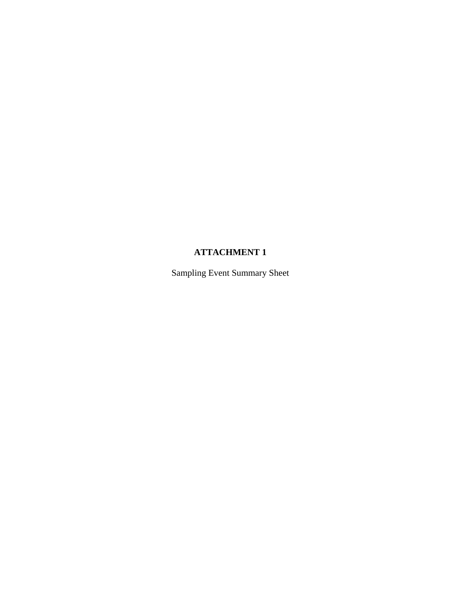#### **ATTACHMENT 1**

Sampling Event Summary Sheet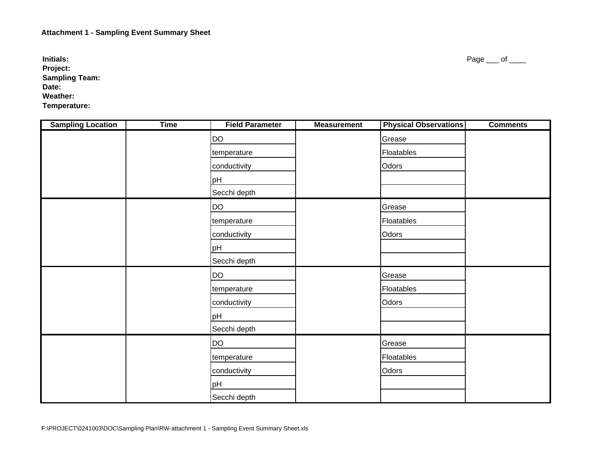**Initials:Project: Sampling Team: Date: Weather: Temperature:**

| <b>Sampling Location</b> | <b>Time</b> | <b>Field Parameter</b> | <b>Measurement</b> | <b>Physical Observations</b> | <b>Comments</b> |
|--------------------------|-------------|------------------------|--------------------|------------------------------|-----------------|
|                          |             | DO                     |                    | Grease                       |                 |
|                          |             | temperature            |                    | Floatables                   |                 |
|                          |             | conductivity           |                    | Odors                        |                 |
|                          |             | pH                     |                    |                              |                 |
|                          |             | Secchi depth           |                    |                              |                 |
|                          |             | DO                     |                    | Grease                       |                 |
|                          |             | temperature            |                    | Floatables                   |                 |
|                          |             | conductivity           |                    | Odors                        |                 |
|                          |             | pH                     |                    |                              |                 |
|                          |             | Secchi depth           |                    |                              |                 |
|                          |             | <b>DO</b>              |                    | Grease                       |                 |
|                          |             | temperature            |                    | Floatables                   |                 |
|                          |             | conductivity           |                    | Odors                        |                 |
|                          |             | pH                     |                    |                              |                 |
|                          |             | Secchi depth           |                    |                              |                 |
|                          |             | DO                     |                    | Grease                       |                 |
|                          |             | temperature            |                    | Floatables                   |                 |
|                          |             | conductivity           |                    | Odors                        |                 |
|                          |             | pH                     |                    |                              |                 |
|                          |             | Secchi depth           |                    |                              |                 |

Page \_\_\_ of \_\_\_\_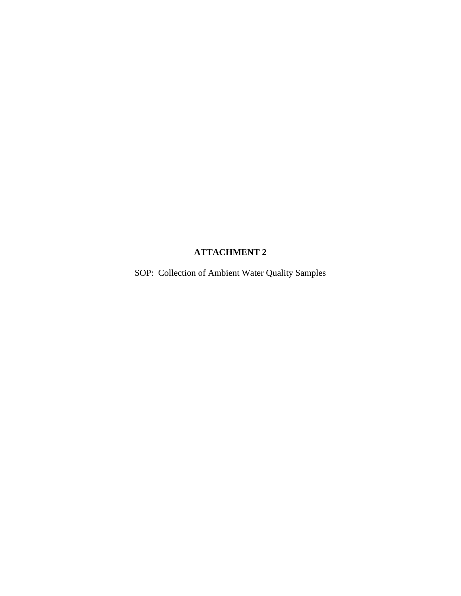#### **ATTACHMENT 2**

SOP: Collection of Ambient Water Quality Samples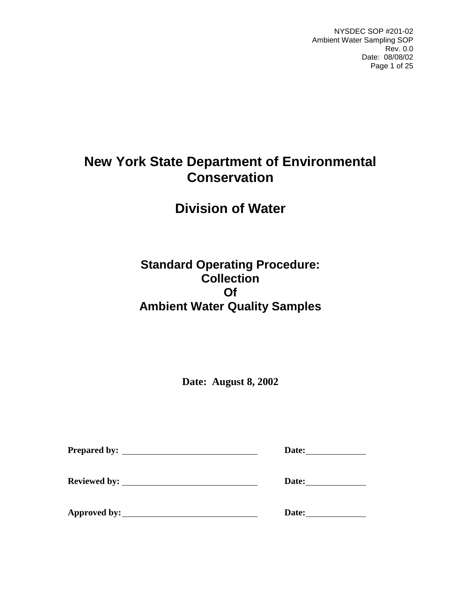NYSDEC SOP #201-02 Ambient Water Sampling SOP Rev. 0.0 Date: 08/08/02 Page 1 of 25

# **New York State Department of Environmental Conservation**

# **Division of Water**

# **Standard Operating Procedure: Collection Of Ambient Water Quality Samples**

**Date: August 8, 2002** 

|                     | Date: |
|---------------------|-------|
| <b>Reviewed by:</b> | Date: |
| Approved by:        | Date: |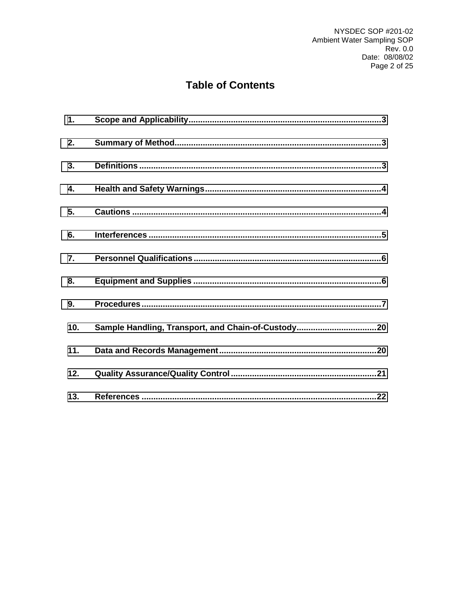# **Table of Contents**

| 1.  |                                                     |
|-----|-----------------------------------------------------|
| 2.  |                                                     |
| 3.  |                                                     |
| 4.  |                                                     |
| 5.  |                                                     |
| 6.  |                                                     |
| 7.  |                                                     |
| 8.  |                                                     |
| 9.  |                                                     |
| 10. | Sample Handling, Transport, and Chain-of-Custody 20 |
| 11. |                                                     |
| 12. |                                                     |
| 13. |                                                     |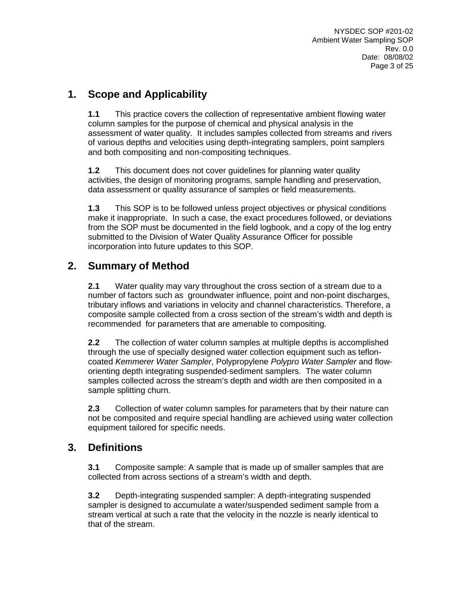## **1. Scope and Applicability**

**1.1** This practice covers the collection of representative ambient flowing water column samples for the purpose of chemical and physical analysis in the assessment of water quality. It includes samples collected from streams and rivers of various depths and velocities using depth-integrating samplers, point samplers and both compositing and non-compositing techniques.

**1.2** This document does not cover guidelines for planning water quality activities, the design of monitoring programs, sample handling and preservation, data assessment or quality assurance of samples or field measurements.

**1.3** This SOP is to be followed unless project objectives or physical conditions make it inappropriate. In such a case, the exact procedures followed, or deviations from the SOP must be documented in the field logbook, and a copy of the log entry submitted to the Division of Water Quality Assurance Officer for possible incorporation into future updates to this SOP.

## **2. Summary of Method**

**2.1** Water quality may vary throughout the cross section of a stream due to a number of factors such as groundwater influence, point and non-point discharges, tributary inflows and variations in velocity and channel characteristics. Therefore, a composite sample collected from a cross section of the stream's width and depth is recommended for parameters that are amenable to compositing.

**2.2** The collection of water column samples at multiple depths is accomplished through the use of specially designed water collection equipment such as tefloncoated *Kemmerer Water Sampler*, Polypropylene *Polypro Water Sampler* and floworienting depth integrating suspended-sediment samplers. The water column samples collected across the stream's depth and width are then composited in a sample splitting churn.

**2.3** Collection of water column samples for parameters that by their nature can not be composited and require special handling are achieved using water collection equipment tailored for specific needs.

## **3. Definitions**

**3.1** Composite sample: A sample that is made up of smaller samples that are collected from across sections of a stream's width and depth.

**3.2** Depth-integrating suspended sampler: A depth-integrating suspended sampler is designed to accumulate a water/suspended sediment sample from a stream vertical at such a rate that the velocity in the nozzle is nearly identical to that of the stream.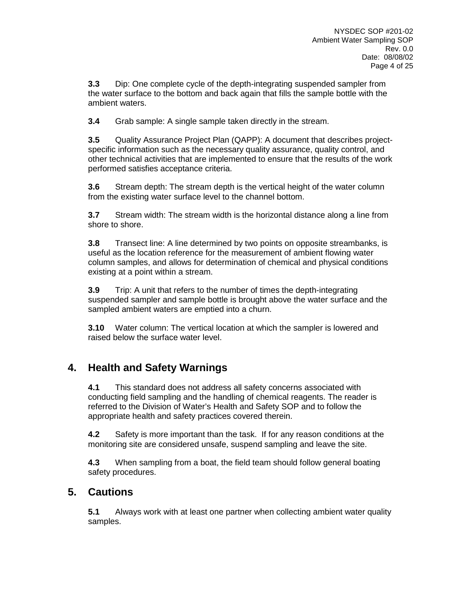**3.3** Dip: One complete cycle of the depth-integrating suspended sampler from the water surface to the bottom and back again that fills the sample bottle with the ambient waters.

**3.4** Grab sample: A single sample taken directly in the stream.

**3.5** Quality Assurance Project Plan (QAPP): A document that describes projectspecific information such as the necessary quality assurance, quality control, and other technical activities that are implemented to ensure that the results of the work performed satisfies acceptance criteria.

**3.6** Stream depth: The stream depth is the vertical height of the water column from the existing water surface level to the channel bottom.

**3.7** Stream width: The stream width is the horizontal distance along a line from shore to shore.

**3.8** Transect line: A line determined by two points on opposite streambanks, is useful as the location reference for the measurement of ambient flowing water column samples, and allows for determination of chemical and physical conditions existing at a point within a stream.

**3.9** Trip: A unit that refers to the number of times the depth-integrating suspended sampler and sample bottle is brought above the water surface and the sampled ambient waters are emptied into a churn.

**3.10** Water column: The vertical location at which the sampler is lowered and raised below the surface water level.

## **4. Health and Safety Warnings**

**4.1** This standard does not address all safety concerns associated with conducting field sampling and the handling of chemical reagents. The reader is referred to the Division of Water's Health and Safety SOP and to follow the appropriate health and safety practices covered therein.

**4.2** Safety is more important than the task. If for any reason conditions at the monitoring site are considered unsafe, suspend sampling and leave the site.

**4.3** When sampling from a boat, the field team should follow general boating safety procedures.

## **5. Cautions**

**5.1** Always work with at least one partner when collecting ambient water quality samples.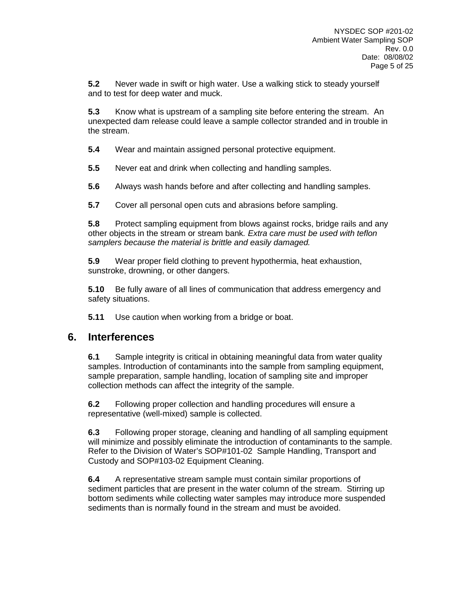**5.2** Never wade in swift or high water. Use a walking stick to steady yourself and to test for deep water and muck.

**5.3** Know what is upstream of a sampling site before entering the stream. An unexpected dam release could leave a sample collector stranded and in trouble in the stream.

**5.4** Wear and maintain assigned personal protective equipment.

**5.5** Never eat and drink when collecting and handling samples.

**5.6** Always wash hands before and after collecting and handling samples.

**5.7** Cover all personal open cuts and abrasions before sampling.

**5.8** Protect sampling equipment from blows against rocks, bridge rails and any other objects in the stream or stream bank*. Extra care must be used with teflon samplers because the material is brittle and easily damaged.* 

**5.9** Wear proper field clothing to prevent hypothermia, heat exhaustion, sunstroke, drowning, or other dangers.

**5.10** Be fully aware of all lines of communication that address emergency and safety situations.

**5.11** Use caution when working from a bridge or boat.

### **6. Interferences**

**6.1** Sample integrity is critical in obtaining meaningful data from water quality samples. Introduction of contaminants into the sample from sampling equipment, sample preparation, sample handling, location of sampling site and improper collection methods can affect the integrity of the sample.

**6.2** Following proper collection and handling procedures will ensure a representative (well-mixed) sample is collected.

**6.3** Following proper storage, cleaning and handling of all sampling equipment will minimize and possibly eliminate the introduction of contaminants to the sample. Refer to the Division of Water's SOP#101-02 Sample Handling, Transport and Custody and SOP#103-02 Equipment Cleaning.

**6.4** A representative stream sample must contain similar proportions of sediment particles that are present in the water column of the stream. Stirring up bottom sediments while collecting water samples may introduce more suspended sediments than is normally found in the stream and must be avoided.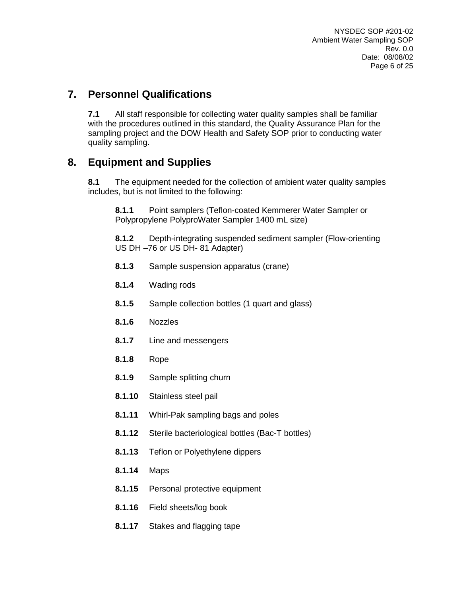## **7. Personnel Qualifications**

**7.1** All staff responsible for collecting water quality samples shall be familiar with the procedures outlined in this standard, the Quality Assurance Plan for the sampling project and the DOW Health and Safety SOP prior to conducting water quality sampling.

## **8. Equipment and Supplies**

**8.1** The equipment needed for the collection of ambient water quality samples includes, but is not limited to the following:

**8.1.1** Point samplers (Teflon-coated Kemmerer Water Sampler or Polypropylene PolyproWater Sampler 1400 mL size)

**8.1.2** Depth-integrating suspended sediment sampler (Flow-orienting US DH –76 or US DH- 81 Adapter)

- **8.1.3** Sample suspension apparatus (crane)
- **8.1.4** Wading rods
- **8.1.5** Sample collection bottles (1 quart and glass)
- **8.1.6** Nozzles
- **8.1.7** Line and messengers
- **8.1.8** Rope
- **8.1.9** Sample splitting churn
- **8.1.10** Stainless steel pail
- **8.1.11** Whirl-Pak sampling bags and poles
- **8.1.12** Sterile bacteriological bottles (Bac-T bottles)
- **8.1.13** Teflon or Polyethylene dippers
- **8.1.14** Maps
- **8.1.15** Personal protective equipment
- **8.1.16** Field sheets/log book
- **8.1.17** Stakes and flagging tape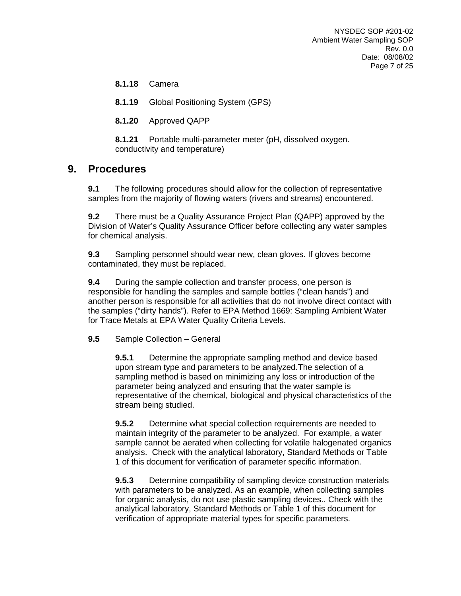**8.1.18** Camera

**8.1.19** Global Positioning System (GPS)

**8.1.20** Approved QAPP

**8.1.21** Portable multi-parameter meter (pH, dissolved oxygen. conductivity and temperature)

## **9. Procedures**

**9.1** The following procedures should allow for the collection of representative samples from the majority of flowing waters (rivers and streams) encountered.

**9.2** There must be a Quality Assurance Project Plan (QAPP) approved by the Division of Water's Quality Assurance Officer before collecting any water samples for chemical analysis.

**9.3** Sampling personnel should wear new, clean gloves. If gloves become contaminated, they must be replaced.

**9.4** During the sample collection and transfer process, one person is responsible for handling the samples and sample bottles ("clean hands") and another person is responsible for all activities that do not involve direct contact with the samples ("dirty hands"). Refer to EPA Method 1669: Sampling Ambient Water for Trace Metals at EPA Water Quality Criteria Levels.

**9.5** Sample Collection – General

**9.5.1** Determine the appropriate sampling method and device based upon stream type and parameters to be analyzed.The selection of a sampling method is based on minimizing any loss or introduction of the parameter being analyzed and ensuring that the water sample is representative of the chemical, biological and physical characteristics of the stream being studied.

**9.5.2** Determine what special collection requirements are needed to maintain integrity of the parameter to be analyzed. For example, a water sample cannot be aerated when collecting for volatile halogenated organics analysis. Check with the analytical laboratory, Standard Methods or Table 1 of this document for verification of parameter specific information.

**9.5.3** Determine compatibility of sampling device construction materials with parameters to be analyzed. As an example, when collecting samples for organic analysis, do not use plastic sampling devices.. Check with the analytical laboratory, Standard Methods or Table 1 of this document for verification of appropriate material types for specific parameters.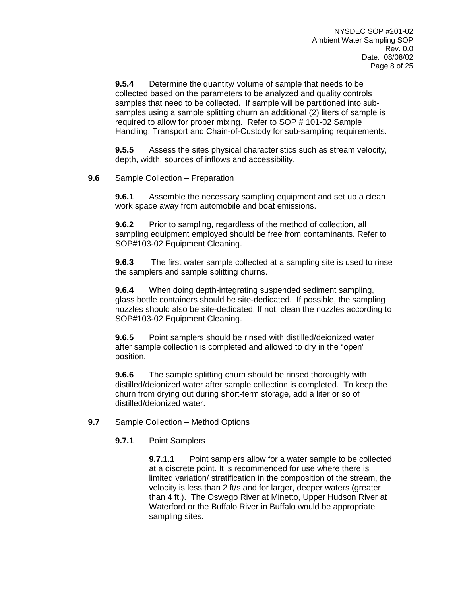**9.5.4** Determine the quantity/ volume of sample that needs to be collected based on the parameters to be analyzed and quality controls samples that need to be collected. If sample will be partitioned into subsamples using a sample splitting churn an additional (2) liters of sample is required to allow for proper mixing. Refer to SOP # 101-02 Sample Handling, Transport and Chain-of-Custody for sub-sampling requirements.

**9.5.5** Assess the sites physical characteristics such as stream velocity, depth, width, sources of inflows and accessibility.

**9.6** Sample Collection – Preparation

**9.6.1** Assemble the necessary sampling equipment and set up a clean work space away from automobile and boat emissions.

**9.6.2** Prior to sampling, regardless of the method of collection, all sampling equipment employed should be free from contaminants. Refer to SOP#103-02 Equipment Cleaning.

**9.6.3** The first water sample collected at a sampling site is used to rinse the samplers and sample splitting churns.

**9.6.4** When doing depth-integrating suspended sediment sampling, glass bottle containers should be site-dedicated. If possible, the sampling nozzles should also be site-dedicated. If not, clean the nozzles according to SOP#103-02 Equipment Cleaning.

**9.6.5** Point samplers should be rinsed with distilled/deionized water after sample collection is completed and allowed to dry in the "open" position.

**9.6.6** The sample splitting churn should be rinsed thoroughly with distilled/deionized water after sample collection is completed. To keep the churn from drying out during short-term storage, add a liter or so of distilled/deionized water.

- **9.7** Sample Collection Method Options
	- **9.7.1** Point Samplers

**9.7.1.1** Point samplers allow for a water sample to be collected at a discrete point. It is recommended for use where there is limited variation/ stratification in the composition of the stream, the velocity is less than 2 ft/s and for larger, deeper waters (greater than 4 ft.). The Oswego River at Minetto, Upper Hudson River at Waterford or the Buffalo River in Buffalo would be appropriate sampling sites.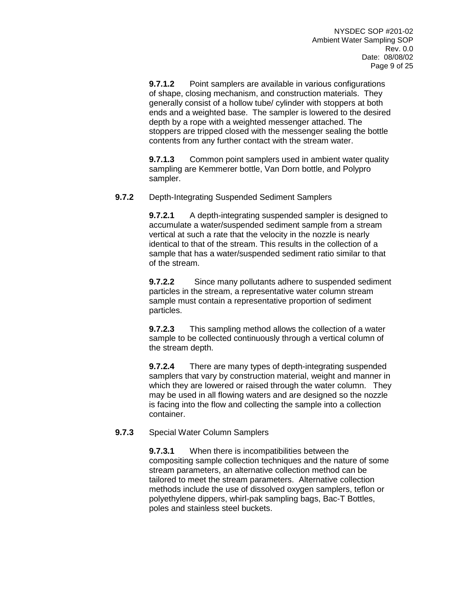**9.7.1.2** Point samplers are available in various configurations of shape, closing mechanism, and construction materials. They generally consist of a hollow tube/ cylinder with stoppers at both ends and a weighted base. The sampler is lowered to the desired depth by a rope with a weighted messenger attached. The stoppers are tripped closed with the messenger sealing the bottle contents from any further contact with the stream water.

**9.7.1.3** Common point samplers used in ambient water quality sampling are Kemmerer bottle, Van Dorn bottle, and Polypro sampler.

#### **9.7.2** Depth-Integrating Suspended Sediment Samplers

**9.7.2.1** A depth-integrating suspended sampler is designed to accumulate a water/suspended sediment sample from a stream vertical at such a rate that the velocity in the nozzle is nearly identical to that of the stream. This results in the collection of a sample that has a water/suspended sediment ratio similar to that of the stream.

**9.7.2.2** Since many pollutants adhere to suspended sediment particles in the stream, a representative water column stream sample must contain a representative proportion of sediment particles.

**9.7.2.3** This sampling method allows the collection of a water sample to be collected continuously through a vertical column of the stream depth.

**9.7.2.4** There are many types of depth-integrating suspended samplers that vary by construction material, weight and manner in which they are lowered or raised through the water column. They may be used in all flowing waters and are designed so the nozzle is facing into the flow and collecting the sample into a collection container.

### **9.7.3** Special Water Column Samplers

**9.7.3.1** When there is incompatibilities between the compositing sample collection techniques and the nature of some stream parameters, an alternative collection method can be tailored to meet the stream parameters. Alternative collection methods include the use of dissolved oxygen samplers, teflon or polyethylene dippers, whirl-pak sampling bags, Bac-T Bottles, poles and stainless steel buckets.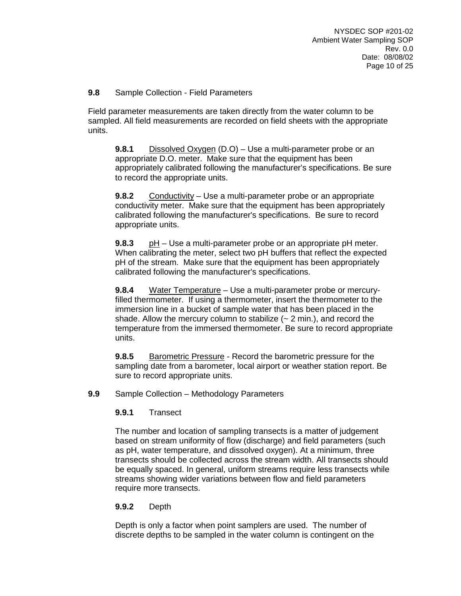### **9.8** Sample Collection - Field Parameters

Field parameter measurements are taken directly from the water column to be sampled. All field measurements are recorded on field sheets with the appropriate units.

**9.8.1** Dissolved Oxygen (D.O) – Use a multi-parameter probe or an appropriate D.O. meter. Make sure that the equipment has been appropriately calibrated following the manufacturer's specifications. Be sure to record the appropriate units.

**9.8.2** Conductivity – Use a multi-parameter probe or an appropriate conductivity meter. Make sure that the equipment has been appropriately calibrated following the manufacturer's specifications. Be sure to record appropriate units.

**9.8.3** pH – Use a multi-parameter probe or an appropriate pH meter. When calibrating the meter, select two pH buffers that reflect the expected pH of the stream. Make sure that the equipment has been appropriately calibrated following the manufacturer's specifications.

**9.8.4** Water Temperature – Use a multi-parameter probe or mercuryfilled thermometer. If using a thermometer, insert the thermometer to the immersion line in a bucket of sample water that has been placed in the shade. Allow the mercury column to stabilize  $(-2 \text{ min.})$ , and record the temperature from the immersed thermometer. Be sure to record appropriate units.

**9.8.5** Barometric Pressure - Record the barometric pressure for the sampling date from a barometer, local airport or weather station report. Be sure to record appropriate units.

### **9.9** Sample Collection – Methodology Parameters

### **9.9.1** Transect

The number and location of sampling transects is a matter of judgement based on stream uniformity of flow (discharge) and field parameters (such as pH, water temperature, and dissolved oxygen). At a minimum, three transects should be collected across the stream width. All transects should be equally spaced. In general, uniform streams require less transects while streams showing wider variations between flow and field parameters require more transects.

### **9.9.2** Depth

Depth is only a factor when point samplers are used. The number of discrete depths to be sampled in the water column is contingent on the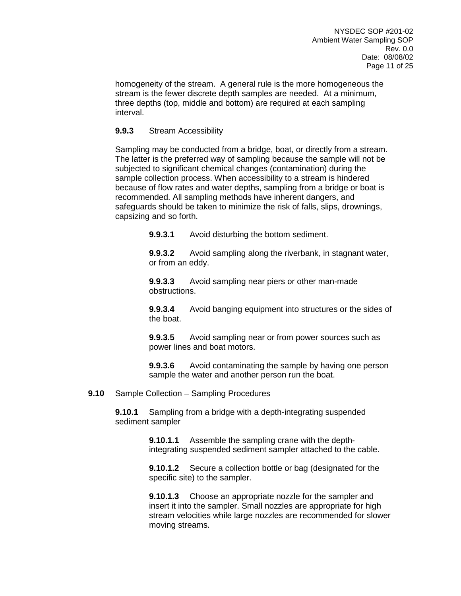homogeneity of the stream. A general rule is the more homogeneous the stream is the fewer discrete depth samples are needed. At a minimum, three depths (top, middle and bottom) are required at each sampling interval.

### **9.9.3** Stream Accessibility

Sampling may be conducted from a bridge, boat, or directly from a stream. The latter is the preferred way of sampling because the sample will not be subjected to significant chemical changes (contamination) during the sample collection process. When accessibility to a stream is hindered because of flow rates and water depths, sampling from a bridge or boat is recommended. All sampling methods have inherent dangers, and safeguards should be taken to minimize the risk of falls, slips, drownings, capsizing and so forth.

**9.9.3.1** Avoid disturbing the bottom sediment.

**9.9.3.2** Avoid sampling along the riverbank, in stagnant water, or from an eddy.

**9.9.3.3** Avoid sampling near piers or other man-made obstructions.

**9.9.3.4** Avoid banging equipment into structures or the sides of the boat.

**9.9.3.5** Avoid sampling near or from power sources such as power lines and boat motors.

**9.9.3.6** Avoid contaminating the sample by having one person sample the water and another person run the boat.

**9.10** Sample Collection – Sampling Procedures

**9.10.1** Sampling from a bridge with a depth-integrating suspended sediment sampler

> **9.10.1.1** Assemble the sampling crane with the depthintegrating suspended sediment sampler attached to the cable.

> **9.10.1.2** Secure a collection bottle or bag (designated for the specific site) to the sampler.

**9.10.1.3** Choose an appropriate nozzle for the sampler and insert it into the sampler. Small nozzles are appropriate for high stream velocities while large nozzles are recommended for slower moving streams.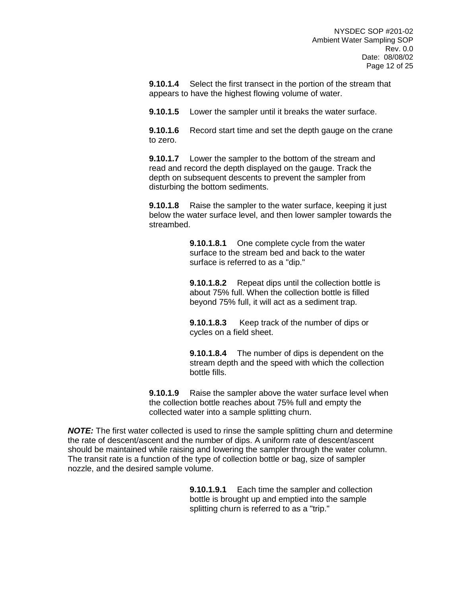**9.10.1.4** Select the first transect in the portion of the stream that appears to have the highest flowing volume of water.

**9.10.1.5** Lower the sampler until it breaks the water surface.

**9.10.1.6** Record start time and set the depth gauge on the crane to zero.

**9.10.1.7** Lower the sampler to the bottom of the stream and read and record the depth displayed on the gauge. Track the depth on subsequent descents to prevent the sampler from disturbing the bottom sediments.

**9.10.1.8** Raise the sampler to the water surface, keeping it just below the water surface level, and then lower sampler towards the streambed.

> **9.10.1.8.1** One complete cycle from the water surface to the stream bed and back to the water surface is referred to as a "dip."

**9.10.1.8.2** Repeat dips until the collection bottle is about 75% full. When the collection bottle is filled beyond 75% full, it will act as a sediment trap.

**9.10.1.8.3** Keep track of the number of dips or cycles on a field sheet.

**9.10.1.8.4** The number of dips is dependent on the stream depth and the speed with which the collection bottle fills.

**9.10.1.9** Raise the sampler above the water surface level when the collection bottle reaches about 75% full and empty the collected water into a sample splitting churn.

*NOTE:* The first water collected is used to rinse the sample splitting churn and determine the rate of descent/ascent and the number of dips. A uniform rate of descent/ascent should be maintained while raising and lowering the sampler through the water column. The transit rate is a function of the type of collection bottle or bag, size of sampler nozzle, and the desired sample volume.

> **9.10.1.9.1** Each time the sampler and collection bottle is brought up and emptied into the sample splitting churn is referred to as a "trip."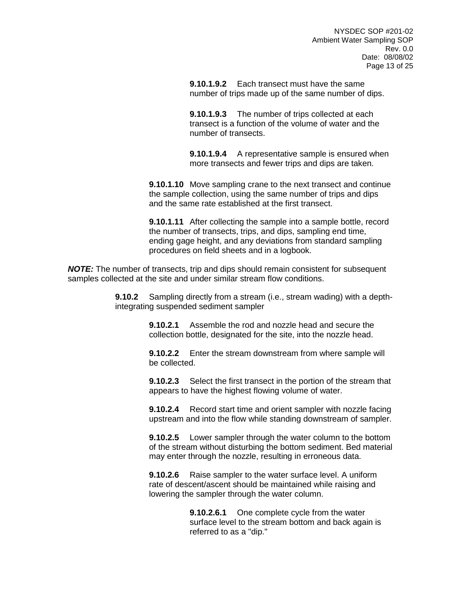**9.10.1.9.2** Each transect must have the same number of trips made up of the same number of dips.

**9.10.1.9.3** The number of trips collected at each transect is a function of the volume of water and the number of transects.

**9.10.1.9.4** A representative sample is ensured when more transects and fewer trips and dips are taken.

**9.10.1.10** Move sampling crane to the next transect and continue the sample collection, using the same number of trips and dips and the same rate established at the first transect.

**9.10.1.11** After collecting the sample into a sample bottle, record the number of transects, trips, and dips, sampling end time, ending gage height, and any deviations from standard sampling procedures on field sheets and in a logbook.

*NOTE:* The number of transects, trip and dips should remain consistent for subsequent samples collected at the site and under similar stream flow conditions.

> **9.10.2** Sampling directly from a stream (i.e., stream wading) with a depthintegrating suspended sediment sampler

> > **9.10.2.1** Assemble the rod and nozzle head and secure the collection bottle, designated for the site, into the nozzle head.

**9.10.2.2** Enter the stream downstream from where sample will be collected.

**9.10.2.3** Select the first transect in the portion of the stream that appears to have the highest flowing volume of water.

**9.10.2.4** Record start time and orient sampler with nozzle facing upstream and into the flow while standing downstream of sampler.

**9.10.2.5** Lower sampler through the water column to the bottom of the stream without disturbing the bottom sediment. Bed material may enter through the nozzle, resulting in erroneous data.

**9.10.2.6** Raise sampler to the water surface level. A uniform rate of descent/ascent should be maintained while raising and lowering the sampler through the water column.

> **9.10.2.6.1** One complete cycle from the water surface level to the stream bottom and back again is referred to as a "dip."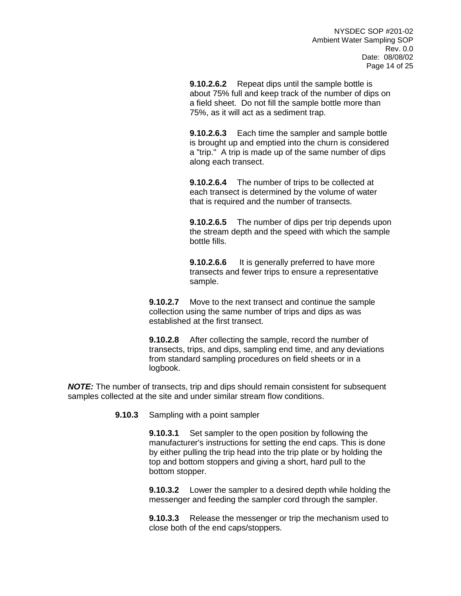**9.10.2.6.2** Repeat dips until the sample bottle is about 75% full and keep track of the number of dips on a field sheet. Do not fill the sample bottle more than 75%, as it will act as a sediment trap.

**9.10.2.6.3** Each time the sampler and sample bottle is brought up and emptied into the churn is considered a "trip." A trip is made up of the same number of dips along each transect.

**9.10.2.6.4** The number of trips to be collected at each transect is determined by the volume of water that is required and the number of transects.

**9.10.2.6.5** The number of dips per trip depends upon the stream depth and the speed with which the sample bottle fills.

**9.10.2.6.6** It is generally preferred to have more transects and fewer trips to ensure a representative sample.

**9.10.2.7** Move to the next transect and continue the sample collection using the same number of trips and dips as was established at the first transect.

**9.10.2.8** After collecting the sample, record the number of transects, trips, and dips, sampling end time, and any deviations from standard sampling procedures on field sheets or in a logbook.

*NOTE:* The number of transects, trip and dips should remain consistent for subsequent samples collected at the site and under similar stream flow conditions.

**9.10.3** Sampling with a point sampler

**9.10.3.1** Set sampler to the open position by following the manufacturer's instructions for setting the end caps. This is done by either pulling the trip head into the trip plate or by holding the top and bottom stoppers and giving a short, hard pull to the bottom stopper.

**9.10.3.2** Lower the sampler to a desired depth while holding the messenger and feeding the sampler cord through the sampler.

**9.10.3.3** Release the messenger or trip the mechanism used to close both of the end caps/stoppers.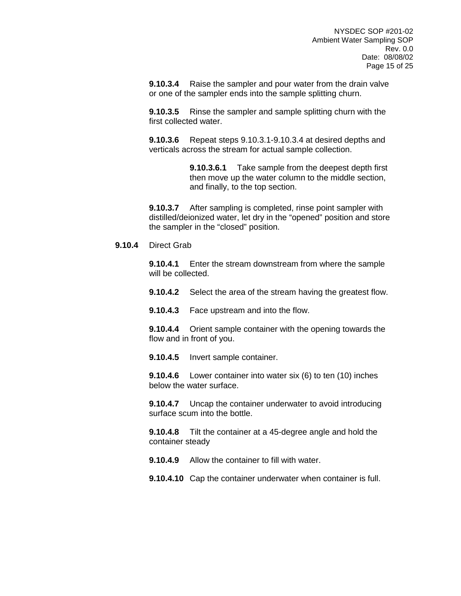**9.10.3.4** Raise the sampler and pour water from the drain valve or one of the sampler ends into the sample splitting churn.

**9.10.3.5** Rinse the sampler and sample splitting churn with the first collected water.

**9.10.3.6** Repeat steps 9.10.3.1-9.10.3.4 at desired depths and verticals across the stream for actual sample collection.

> **9.10.3.6.1** Take sample from the deepest depth first then move up the water column to the middle section, and finally, to the top section.

**9.10.3.7** After sampling is completed, rinse point sampler with distilled/deionized water, let dry in the "opened" position and store the sampler in the "closed" position.

#### **9.10.4** Direct Grab

**9.10.4.1** Enter the stream downstream from where the sample will be collected.

**9.10.4.2** Select the area of the stream having the greatest flow.

**9.10.4.3** Face upstream and into the flow.

**9.10.4.4** Orient sample container with the opening towards the flow and in front of you.

**9.10.4.5** Invert sample container.

**9.10.4.6** Lower container into water six (6) to ten (10) inches below the water surface.

**9.10.4.7** Uncap the container underwater to avoid introducing surface scum into the bottle.

**9.10.4.8** Tilt the container at a 45-degree angle and hold the container steady

**9.10.4.9** Allow the container to fill with water.

**9.10.4.10** Cap the container underwater when container is full.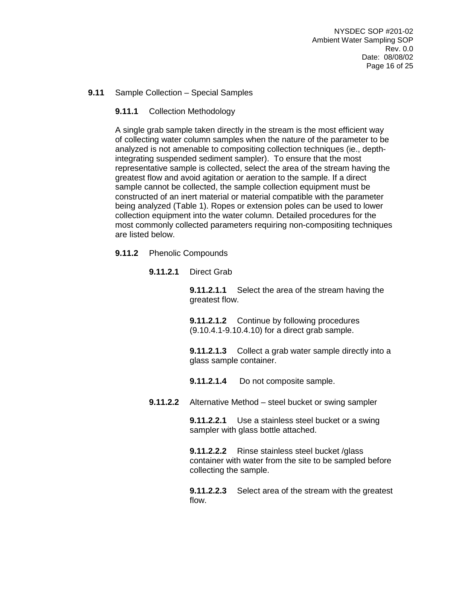### **9.11** Sample Collection – Special Samples

### **9.11.1** Collection Methodology

A single grab sample taken directly in the stream is the most efficient way of collecting water column samples when the nature of the parameter to be analyzed is not amenable to compositing collection techniques (ie., depthintegrating suspended sediment sampler). To ensure that the most representative sample is collected, select the area of the stream having the greatest flow and avoid agitation or aeration to the sample. If a direct sample cannot be collected, the sample collection equipment must be constructed of an inert material or material compatible with the parameter being analyzed (Table 1). Ropes or extension poles can be used to lower collection equipment into the water column. Detailed procedures for the most commonly collected parameters requiring non-compositing techniques are listed below.

#### **9.11.2** Phenolic Compounds

**9.11.2.1** Direct Grab

**9.11.2.1.1** Select the area of the stream having the greatest flow.

**9.11.2.1.2** Continue by following procedures (9.10.4.1-9.10.4.10) for a direct grab sample.

**9.11.2.1.3** Collect a grab water sample directly into a glass sample container.

**9.11.2.1.4** Do not composite sample.

**9.11.2.2** Alternative Method – steel bucket or swing sampler

**9.11.2.2.1** Use a stainless steel bucket or a swing sampler with glass bottle attached.

**9.11.2.2.2** Rinse stainless steel bucket /glass container with water from the site to be sampled before collecting the sample.

**9.11.2.2.3** Select area of the stream with the greatest flow.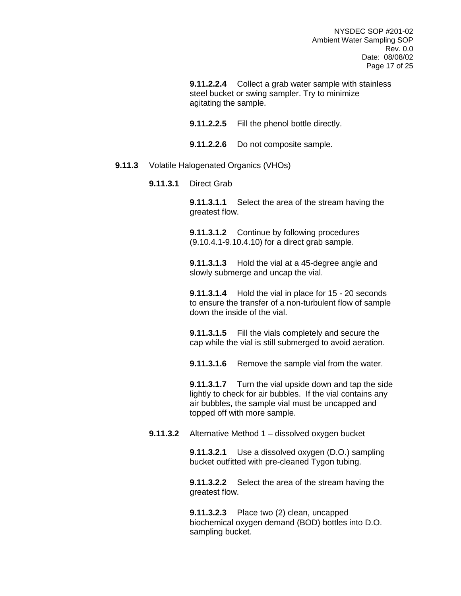**9.11.2.2.4** Collect a grab water sample with stainless steel bucket or swing sampler. Try to minimize agitating the sample.

**9.11.2.2.5** Fill the phenol bottle directly.

**9.11.2.2.6** Do not composite sample.

#### **9.11.3** Volatile Halogenated Organics (VHOs)

**9.11.3.1** Direct Grab

**9.11.3.1.1** Select the area of the stream having the greatest flow.

**9.11.3.1.2** Continue by following procedures (9.10.4.1-9.10.4.10) for a direct grab sample.

**9.11.3.1.3** Hold the vial at a 45-degree angle and slowly submerge and uncap the vial.

**9.11.3.1.4** Hold the vial in place for 15 - 20 seconds to ensure the transfer of a non-turbulent flow of sample down the inside of the vial.

**9.11.3.1.5** Fill the vials completely and secure the cap while the vial is still submerged to avoid aeration.

**9.11.3.1.6** Remove the sample vial from the water.

**9.11.3.1.7** Turn the vial upside down and tap the side lightly to check for air bubbles. If the vial contains any air bubbles, the sample vial must be uncapped and topped off with more sample.

**9.11.3.2** Alternative Method 1 – dissolved oxygen bucket

**9.11.3.2.1** Use a dissolved oxygen (D.O.) sampling bucket outfitted with pre-cleaned Tygon tubing.

**9.11.3.2.2** Select the area of the stream having the greatest flow.

**9.11.3.2.3** Place two (2) clean, uncapped biochemical oxygen demand (BOD) bottles into D.O. sampling bucket.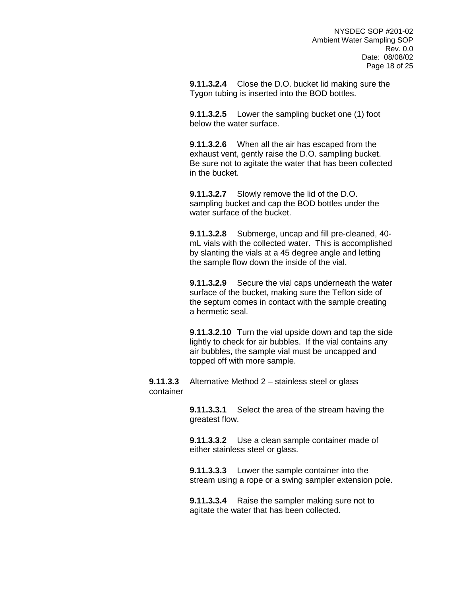**9.11.3.2.4** Close the D.O. bucket lid making sure the Tygon tubing is inserted into the BOD bottles.

**9.11.3.2.5** Lower the sampling bucket one (1) foot below the water surface.

**9.11.3.2.6** When all the air has escaped from the exhaust vent, gently raise the D.O. sampling bucket. Be sure not to agitate the water that has been collected in the bucket.

**9.11.3.2.7** Slowly remove the lid of the D.O. sampling bucket and cap the BOD bottles under the water surface of the bucket.

**9.11.3.2.8** Submerge, uncap and fill pre-cleaned, 40 mL vials with the collected water. This is accomplished by slanting the vials at a 45 degree angle and letting the sample flow down the inside of the vial.

**9.11.3.2.9** Secure the vial caps underneath the water surface of the bucket, making sure the Teflon side of the septum comes in contact with the sample creating a hermetic seal.

**9.11.3.2.10** Turn the vial upside down and tap the side lightly to check for air bubbles. If the vial contains any air bubbles, the sample vial must be uncapped and topped off with more sample.

**9.11.3.3** Alternative Method 2 – stainless steel or glass container

> **9.11.3.3.1** Select the area of the stream having the greatest flow.

**9.11.3.3.2** Use a clean sample container made of either stainless steel or glass.

**9.11.3.3.3** Lower the sample container into the stream using a rope or a swing sampler extension pole.

**9.11.3.3.4** Raise the sampler making sure not to agitate the water that has been collected.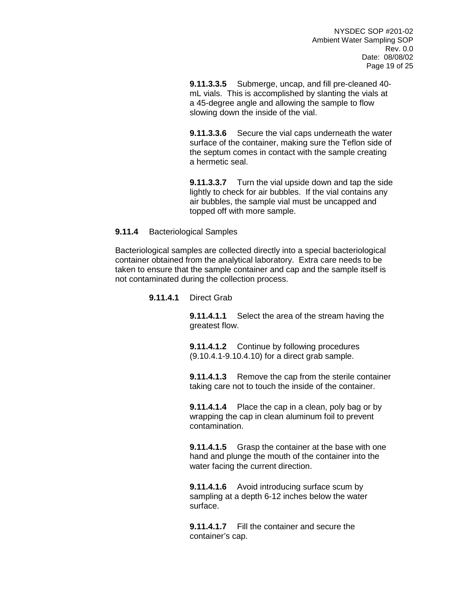**9.11.3.3.5** Submerge, uncap, and fill pre-cleaned 40 mL vials. This is accomplished by slanting the vials at a 45-degree angle and allowing the sample to flow slowing down the inside of the vial.

**9.11.3.3.6** Secure the vial caps underneath the water surface of the container, making sure the Teflon side of the septum comes in contact with the sample creating a hermetic seal.

**9.11.3.3.7** Turn the vial upside down and tap the side lightly to check for air bubbles. If the vial contains any air bubbles, the sample vial must be uncapped and topped off with more sample.

#### **9.11.4** Bacteriological Samples

Bacteriological samples are collected directly into a special bacteriological container obtained from the analytical laboratory. Extra care needs to be taken to ensure that the sample container and cap and the sample itself is not contaminated during the collection process.

#### **9.11.4.1** Direct Grab

**9.11.4.1.1** Select the area of the stream having the greatest flow.

**9.11.4.1.2** Continue by following procedures (9.10.4.1-9.10.4.10) for a direct grab sample.

**9.11.4.1.3** Remove the cap from the sterile container taking care not to touch the inside of the container.

**9.11.4.1.4** Place the cap in a clean, poly bag or by wrapping the cap in clean aluminum foil to prevent contamination.

**9.11.4.1.5** Grasp the container at the base with one hand and plunge the mouth of the container into the water facing the current direction.

**9.11.4.1.6** Avoid introducing surface scum by sampling at a depth 6-12 inches below the water surface.

**9.11.4.1.7** Fill the container and secure the container's cap.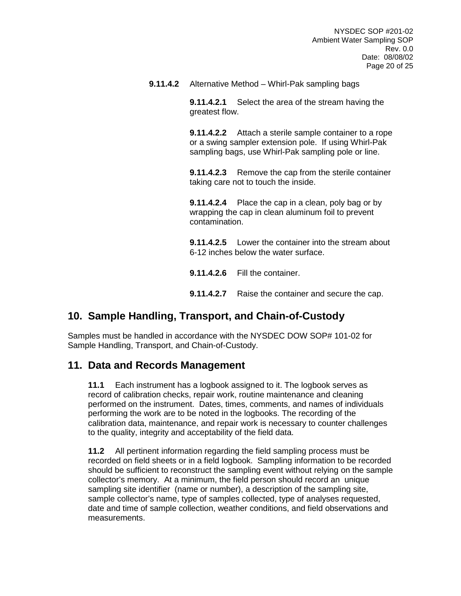**9.11.4.2** Alternative Method – Whirl-Pak sampling bags

**9.11.4.2.1** Select the area of the stream having the greatest flow.

**9.11.4.2.2** Attach a sterile sample container to a rope or a swing sampler extension pole. If using Whirl-Pak sampling bags, use Whirl-Pak sampling pole or line.

**9.11.4.2.3** Remove the cap from the sterile container taking care not to touch the inside.

**9.11.4.2.4** Place the cap in a clean, poly bag or by wrapping the cap in clean aluminum foil to prevent contamination.

**9.11.4.2.5** Lower the container into the stream about 6-12 inches below the water surface.

**9.11.4.2.6** Fill the container.

**9.11.4.2.7** Raise the container and secure the cap.

## **10. Sample Handling, Transport, and Chain-of-Custody**

Samples must be handled in accordance with the NYSDEC DOW SOP# 101-02 for Sample Handling, Transport, and Chain-of-Custody.

## **11. Data and Records Management**

**11.1** Each instrument has a logbook assigned to it. The logbook serves as record of calibration checks, repair work, routine maintenance and cleaning performed on the instrument. Dates, times, comments, and names of individuals performing the work are to be noted in the logbooks. The recording of the calibration data, maintenance, and repair work is necessary to counter challenges to the quality, integrity and acceptability of the field data.

**11.2** All pertinent information regarding the field sampling process must be recorded on field sheets or in a field logbook. Sampling information to be recorded should be sufficient to reconstruct the sampling event without relying on the sample collector's memory. At a minimum, the field person should record an unique sampling site identifier (name or number), a description of the sampling site, sample collector's name, type of samples collected, type of analyses requested, date and time of sample collection, weather conditions, and field observations and measurements.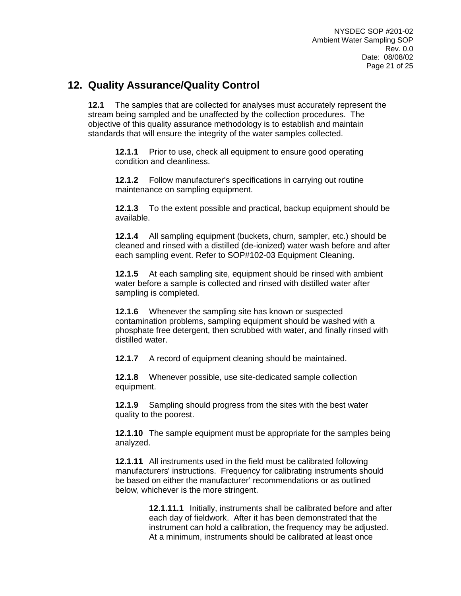## **12. Quality Assurance/Quality Control**

**12.1** The samples that are collected for analyses must accurately represent the stream being sampled and be unaffected by the collection procedures. The objective of this quality assurance methodology is to establish and maintain standards that will ensure the integrity of the water samples collected.

**12.1.1** Prior to use, check all equipment to ensure good operating condition and cleanliness.

**12.1.2** Follow manufacturer's specifications in carrying out routine maintenance on sampling equipment.

**12.1.3** To the extent possible and practical, backup equipment should be available.

**12.1.4** All sampling equipment (buckets, churn, sampler, etc.) should be cleaned and rinsed with a distilled (de-ionized) water wash before and after each sampling event. Refer to SOP#102-03 Equipment Cleaning.

**12.1.5** At each sampling site, equipment should be rinsed with ambient water before a sample is collected and rinsed with distilled water after sampling is completed.

**12.1.6** Whenever the sampling site has known or suspected contamination problems, sampling equipment should be washed with a phosphate free detergent, then scrubbed with water, and finally rinsed with distilled water.

**12.1.7** A record of equipment cleaning should be maintained.

**12.1.8** Whenever possible, use site-dedicated sample collection equipment.

**12.1.9** Sampling should progress from the sites with the best water quality to the poorest.

**12.1.10** The sample equipment must be appropriate for the samples being analyzed.

**12.1.11** All instruments used in the field must be calibrated following manufacturers' instructions. Frequency for calibrating instruments should be based on either the manufacturer' recommendations or as outlined below, whichever is the more stringent.

> **12.1.11.1** Initially, instruments shall be calibrated before and after each day of fieldwork. After it has been demonstrated that the instrument can hold a calibration, the frequency may be adjusted. At a minimum, instruments should be calibrated at least once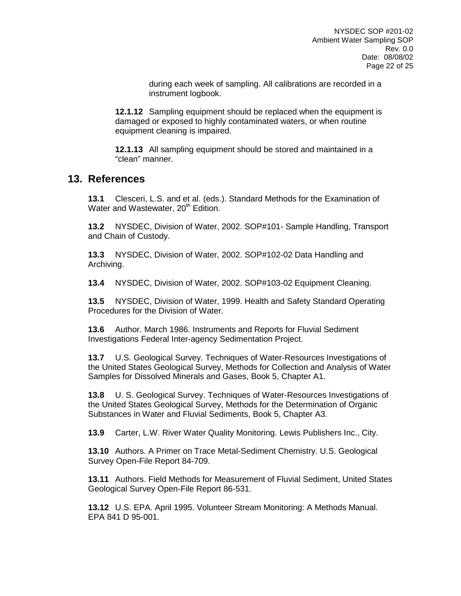during each week of sampling. All calibrations are recorded in a instrument logbook.

**12.1.12** Sampling equipment should be replaced when the equipment is damaged or exposed to highly contaminated waters, or when routine equipment cleaning is impaired.

**12.1.13** All sampling equipment should be stored and maintained in a "clean" manner.

### **13. References**

**13.1** Clesceri, L.S. and et al. (eds.). Standard Methods for the Examination of Water and Wastewater, 20<sup>th</sup> Edition.

**13.2** NYSDEC, Division of Water, 2002. SOP#101- Sample Handling, Transport and Chain of Custody.

**13.3** NYSDEC, Division of Water, 2002. SOP#102-02 Data Handling and Archiving.

**13.4** NYSDEC, Division of Water, 2002. SOP#103-02 Equipment Cleaning.

**13.5** NYSDEC, Division of Water, 1999. Health and Safety Standard Operating Procedures for the Division of Water.

**13.6** Author. March 1986. Instruments and Reports for Fluvial Sediment Investigations Federal Inter-agency Sedimentation Project.

**13.7** U.S. Geological Survey. Techniques of Water-Resources Investigations of the United States Geological Survey, Methods for Collection and Analysis of Water Samples for Dissolved Minerals and Gases, Book 5, Chapter A1.

**13.8** U. S. Geological Survey. Techniques of Water-Resources Investigations of the United States Geological Survey, Methods for the Determination of Organic Substances in Water and Fluvial Sediments, Book 5, Chapter A3.

**13.9** Carter, L.W. River Water Quality Monitoring. Lewis Publishers Inc., City.

**13.10** Authors. A Primer on Trace Metal-Sediment Chemistry. U.S. Geological Survey Open-File Report 84-709.

**13.11** Authors. Field Methods for Measurement of Fluvial Sediment, United States Geological Survey Open-File Report 86-531.

**13.12** U.S. EPA. April 1995. Volunteer Stream Monitoring: A Methods Manual. EPA 841 D 95-001.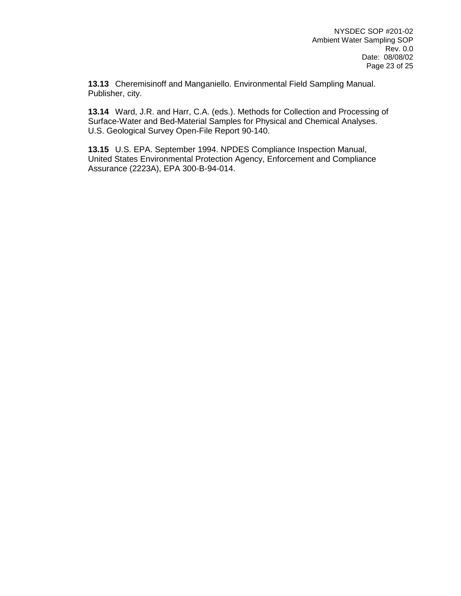**13.13** Cheremisinoff and Manganiello. Environmental Field Sampling Manual. Publisher, city.

**13.14** Ward, J.R. and Harr, C.A. (eds.). Methods for Collection and Processing of Surface-Water and Bed-Material Samples for Physical and Chemical Analyses. U.S. Geological Survey Open-File Report 90-140.

**13.15** U.S. EPA. September 1994. NPDES Compliance Inspection Manual, United States Environmental Protection Agency, Enforcement and Compliance Assurance (2223A), EPA 300-B-94-014.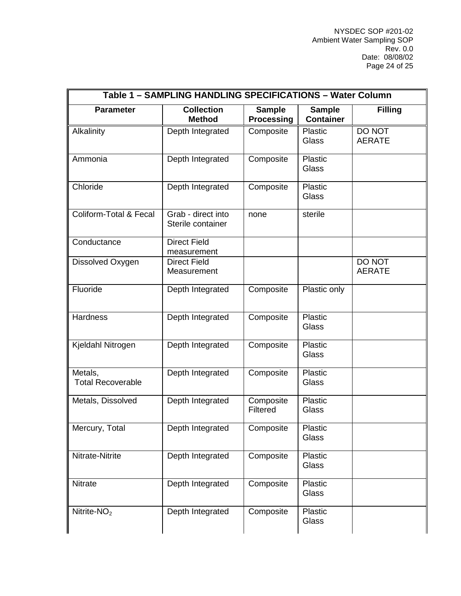| Table 1 - SAMPLING HANDLING SPECIFICATIONS - Water Column |                                         |                                    |                                   |                         |  |
|-----------------------------------------------------------|-----------------------------------------|------------------------------------|-----------------------------------|-------------------------|--|
| <b>Parameter</b>                                          | <b>Collection</b><br><b>Method</b>      | <b>Sample</b><br><b>Processing</b> | <b>Sample</b><br><b>Container</b> | <b>Filling</b>          |  |
| Alkalinity                                                | Depth Integrated                        | Composite                          | Plastic<br>Glass                  | DO NOT<br><b>AERATE</b> |  |
| Ammonia                                                   | Depth Integrated                        | Composite                          | Plastic<br>Glass                  |                         |  |
| Chloride                                                  | Depth Integrated                        | Composite                          | Plastic<br>Glass                  |                         |  |
| <b>Coliform-Total &amp; Fecal</b>                         | Grab - direct into<br>Sterile container | none                               | sterile                           |                         |  |
| Conductance                                               | <b>Direct Field</b><br>measurement      |                                    |                                   |                         |  |
| Dissolved Oxygen                                          | <b>Direct Field</b><br>Measurement      |                                    |                                   | DO NOT<br><b>AERATE</b> |  |
| Fluoride                                                  | Depth Integrated                        | Composite                          | Plastic only                      |                         |  |
| <b>Hardness</b>                                           | Depth Integrated                        | Composite                          | Plastic<br>Glass                  |                         |  |
| Kjeldahl Nitrogen                                         | Depth Integrated                        | Composite                          | Plastic<br>Glass                  |                         |  |
| Metals,<br><b>Total Recoverable</b>                       | Depth Integrated                        | Composite                          | Plastic<br>Glass                  |                         |  |
| Metals, Dissolved                                         | Depth Integrated                        | Composite<br>Filtered              | Plastic<br>Glass                  |                         |  |
| Mercury, Total                                            | Depth Integrated                        | Composite                          | Plastic<br>Glass                  |                         |  |
| Nitrate-Nitrite                                           | Depth Integrated                        | Composite                          | Plastic<br>Glass                  |                         |  |
| Nitrate                                                   | Depth Integrated                        | Composite                          | Plastic<br>Glass                  |                         |  |
| Nitrite- $NO2$                                            | Depth Integrated                        | Composite                          | Plastic<br>Glass                  |                         |  |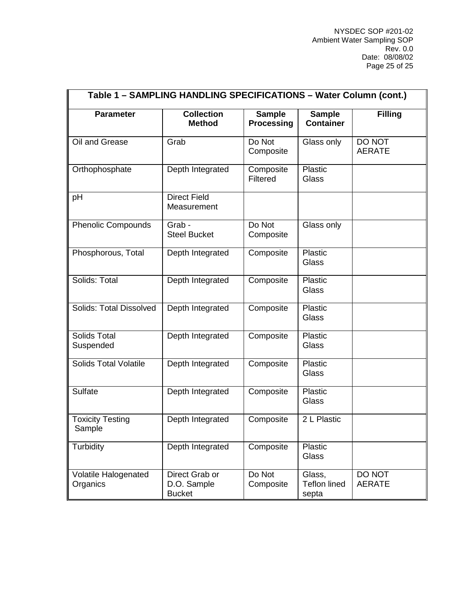| Table 1 - SAMPLING HANDLING SPECIFICATIONS - Water Column (cont.) |                                                |                                    |                                        |                         |  |  |
|-------------------------------------------------------------------|------------------------------------------------|------------------------------------|----------------------------------------|-------------------------|--|--|
| <b>Parameter</b>                                                  | <b>Collection</b><br><b>Method</b>             | <b>Sample</b><br><b>Processing</b> | <b>Sample</b><br><b>Container</b>      | <b>Filling</b>          |  |  |
| Oil and Grease                                                    | Grab                                           | Do Not<br>Composite                | Glass only                             | DO NOT<br><b>AERATE</b> |  |  |
| Orthophosphate                                                    | Depth Integrated                               | Composite<br>Filtered              | Plastic<br>Glass                       |                         |  |  |
| pH                                                                | <b>Direct Field</b><br>Measurement             |                                    |                                        |                         |  |  |
| <b>Phenolic Compounds</b>                                         | Grab -<br><b>Steel Bucket</b>                  | Do Not<br>Composite                | Glass only                             |                         |  |  |
| Phosphorous, Total                                                | Depth Integrated                               | Composite                          | Plastic<br>Glass                       |                         |  |  |
| Solids: Total                                                     | Depth Integrated                               | Composite                          | Plastic<br>Glass                       |                         |  |  |
| <b>Solids: Total Dissolved</b>                                    | Depth Integrated                               | Composite                          | Plastic<br>Glass                       |                         |  |  |
| <b>Solids Total</b><br>Suspended                                  | Depth Integrated                               | Composite                          | Plastic<br>Glass                       |                         |  |  |
| <b>Solids Total Volatile</b>                                      | Depth Integrated                               | Composite                          | Plastic<br>Glass                       |                         |  |  |
| <b>Sulfate</b>                                                    | Depth Integrated                               | Composite                          | <b>Plastic</b><br>Glass                |                         |  |  |
| <b>Toxicity Testing</b><br>Sample                                 | Depth Integrated                               | Composite                          | 2 L Plastic                            |                         |  |  |
| Turbidity                                                         | Depth Integrated                               | Composite                          | <b>Plastic</b><br>Glass                |                         |  |  |
| <b>Volatile Halogenated</b><br>Organics                           | Direct Grab or<br>D.O. Sample<br><b>Bucket</b> | Do Not<br>Composite                | Glass,<br><b>Teflon lined</b><br>septa | DO NOT<br><b>AERATE</b> |  |  |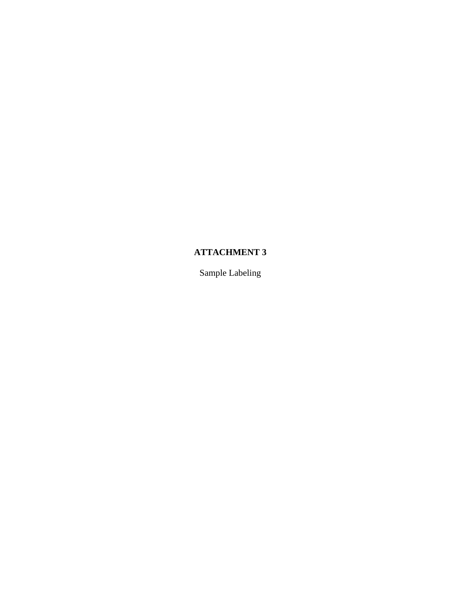## **ATTACHMENT 3**

Sample Labeling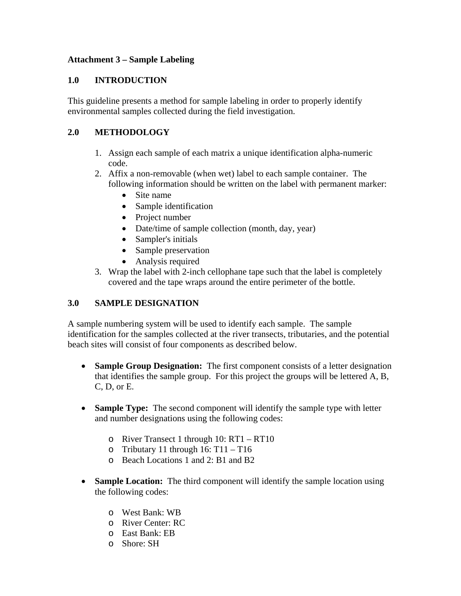### **Attachment 3 – Sample Labeling**

### **1.0 INTRODUCTION**

This guideline presents a method for sample labeling in order to properly identify environmental samples collected during the field investigation.

## **2.0 METHODOLOGY**

- 1. Assign each sample of each matrix a unique identification alpha-numeric code.
- 2. Affix a non-removable (when wet) label to each sample container. The following information should be written on the label with permanent marker:
	- Site name
	- Sample identification
	- Project number
	- Date/time of sample collection (month, day, year)
	- Sampler's initials
	- Sample preservation
	- Analysis required
- 3. Wrap the label with 2-inch cellophane tape such that the label is completely covered and the tape wraps around the entire perimeter of the bottle.

### **3.0 SAMPLE DESIGNATION**

A sample numbering system will be used to identify each sample. The sample identification for the samples collected at the river transects, tributaries, and the potential beach sites will consist of four components as described below.

- **Sample Group Designation:** The first component consists of a letter designation that identifies the sample group. For this project the groups will be lettered A, B, C, D, or E.
- **Sample Type:** The second component will identify the sample type with letter and number designations using the following codes:
	- o River Transect 1 through 10: RT1 RT10
	- o Tributary 11 through  $16: T11 T16$
	- o Beach Locations 1 and 2: B1 and B2
- **Sample Location:** The third component will identify the sample location using the following codes:
	- o West Bank: WB
	- o River Center: RC
	- o East Bank: EB
	- o Shore: SH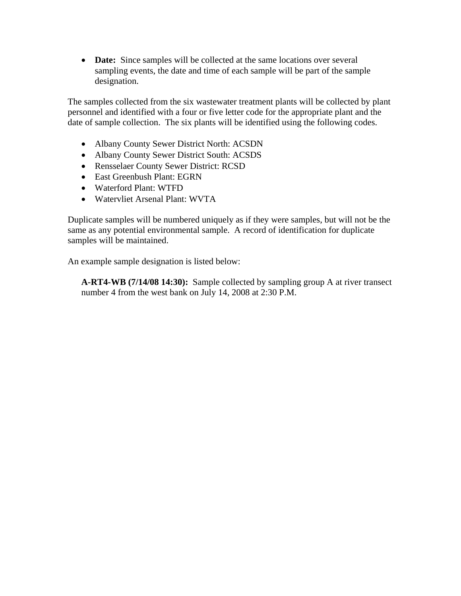• **Date:** Since samples will be collected at the same locations over several sampling events, the date and time of each sample will be part of the sample designation.

The samples collected from the six wastewater treatment plants will be collected by plant personnel and identified with a four or five letter code for the appropriate plant and the date of sample collection. The six plants will be identified using the following codes.

- Albany County Sewer District North: ACSDN
- Albany County Sewer District South: ACSDS
- Rensselaer County Sewer District: RCSD
- East Greenbush Plant: EGRN
- Waterford Plant: WTFD
- Watervliet Arsenal Plant: WVTA

Duplicate samples will be numbered uniquely as if they were samples, but will not be the same as any potential environmental sample. A record of identification for duplicate samples will be maintained.

An example sample designation is listed below:

**A-RT4-WB (7/14/08 14:30):** Sample collected by sampling group A at river transect number 4 from the west bank on July 14, 2008 at 2:30 P.M.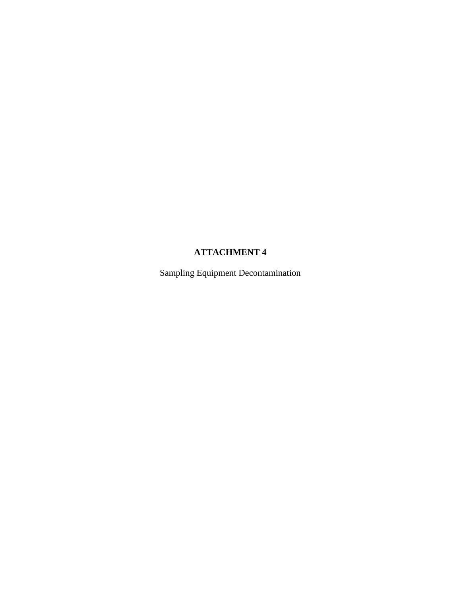## **ATTACHMENT 4**

Sampling Equipment Decontamination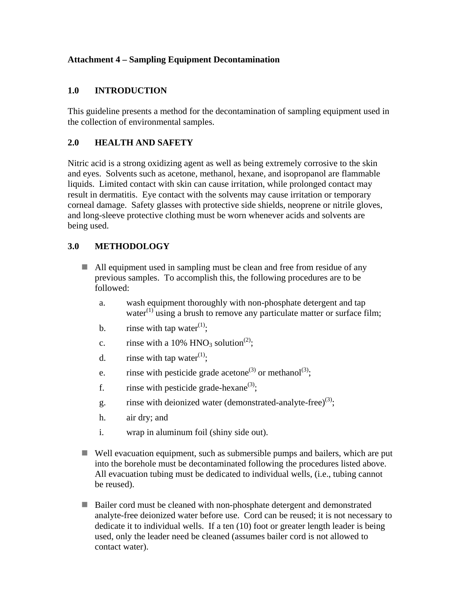### **Attachment 4 – Sampling Equipment Decontamination**

### **1.0 INTRODUCTION**

This guideline presents a method for the decontamination of sampling equipment used in the collection of environmental samples.

### **2.0 HEALTH AND SAFETY**

Nitric acid is a strong oxidizing agent as well as being extremely corrosive to the skin and eyes. Solvents such as acetone, methanol, hexane, and isopropanol are flammable liquids. Limited contact with skin can cause irritation, while prolonged contact may result in dermatitis. Eye contact with the solvents may cause irritation or temporary corneal damage. Safety glasses with protective side shields, neoprene or nitrile gloves, and long-sleeve protective clothing must be worn whenever acids and solvents are being used.

### **3.0 METHODOLOGY**

- All equipment used in sampling must be clean and free from residue of any previous samples. To accomplish this, the following procedures are to be followed:
	- a. wash equipment thoroughly with non-phosphate detergent and tap water $^{(1)}$  using a brush to remove any particulate matter or surface film;
	- b. rinse with tap water<sup>(1)</sup>;
	- c. rinse with a 10% HNO<sub>3</sub> solution<sup>(2)</sup>;
	- d. rinse with tap water<sup>(1)</sup>:
	- e. rinse with pesticide grade acetone<sup>(3)</sup> or methanol<sup>(3)</sup>;
	- f. rinse with pesticide grade-hexane<sup>(3)</sup>;
	- g. rinse with deionized water (demonstrated-analyte-free)<sup>(3)</sup>;
	- h. air dry; and
	- i. wrap in aluminum foil (shiny side out).
- Well evacuation equipment, such as submersible pumps and bailers, which are put into the borehole must be decontaminated following the procedures listed above. All evacuation tubing must be dedicated to individual wells, (i.e., tubing cannot be reused).
- Bailer cord must be cleaned with non-phosphate detergent and demonstrated analyte-free deionized water before use. Cord can be reused; it is not necessary to dedicate it to individual wells. If a ten (10) foot or greater length leader is being used, only the leader need be cleaned (assumes bailer cord is not allowed to contact water).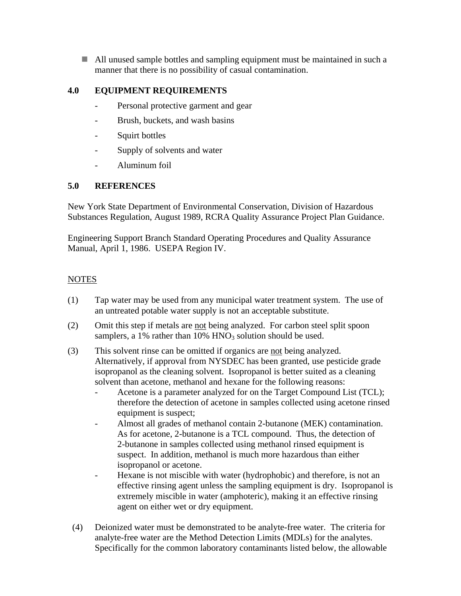All unused sample bottles and sampling equipment must be maintained in such a manner that there is no possibility of casual contamination.

### **4.0 EQUIPMENT REQUIREMENTS**

- Personal protective garment and gear
- Brush, buckets, and wash basins
- Squirt bottles
- Supply of solvents and water
- Aluminum foil

### **5.0 REFERENCES**

New York State Department of Environmental Conservation, Division of Hazardous Substances Regulation, August 1989, RCRA Quality Assurance Project Plan Guidance.

Engineering Support Branch Standard Operating Procedures and Quality Assurance Manual, April 1, 1986. USEPA Region IV.

### **NOTES**

- (1) Tap water may be used from any municipal water treatment system. The use of an untreated potable water supply is not an acceptable substitute.
- (2) Omit this step if metals are not being analyzed. For carbon steel split spoon samplers, a  $1\%$  rather than  $10\%$  HNO<sub>3</sub> solution should be used.
- (3) This solvent rinse can be omitted if organics are not being analyzed. Alternatively, if approval from NYSDEC has been granted, use pesticide grade isopropanol as the cleaning solvent. Isopropanol is better suited as a cleaning solvent than acetone, methanol and hexane for the following reasons:
	- Acetone is a parameter analyzed for on the Target Compound List (TCL); therefore the detection of acetone in samples collected using acetone rinsed equipment is suspect;
	- Almost all grades of methanol contain 2-butanone (MEK) contamination. As for acetone, 2-butanone is a TCL compound. Thus, the detection of 2-butanone in samples collected using methanol rinsed equipment is suspect. In addition, methanol is much more hazardous than either isopropanol or acetone.
	- Hexane is not miscible with water (hydrophobic) and therefore, is not an effective rinsing agent unless the sampling equipment is dry. Isopropanol is extremely miscible in water (amphoteric), making it an effective rinsing agent on either wet or dry equipment.
- (4) Deionized water must be demonstrated to be analyte-free water. The criteria for analyte-free water are the Method Detection Limits (MDLs) for the analytes. Specifically for the common laboratory contaminants listed below, the allowable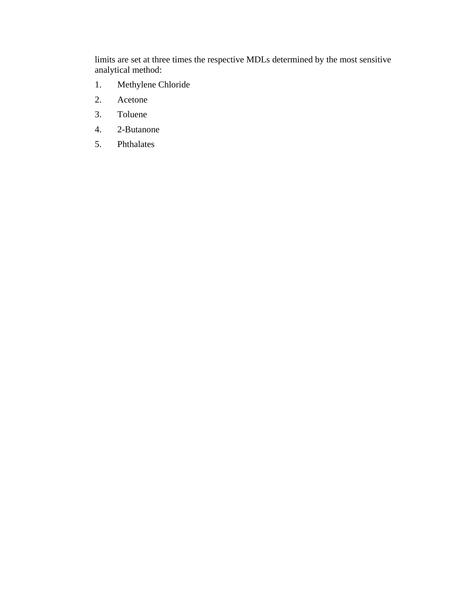limits are set at three times the respective MDLs determined by the most sensitive analytical method:

- 1. Methylene Chloride
- 2. Acetone
- 3. Toluene
- 4. 2-Butanone
- 5. Phthalates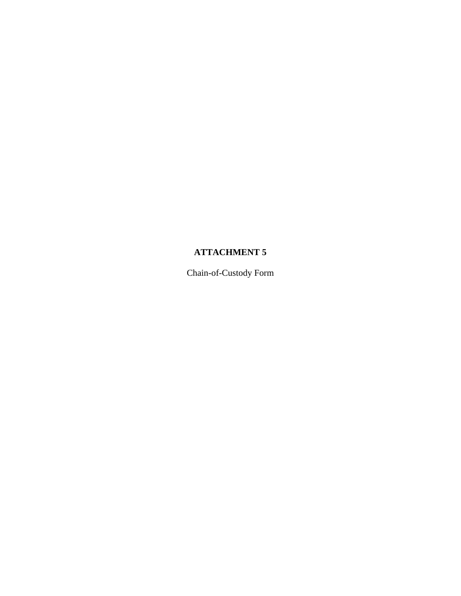## **ATTACHMENT 5**

Chain-of-Custody Form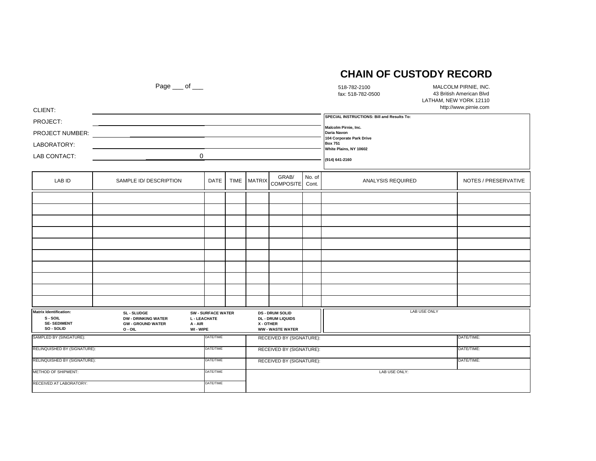### **CHAIN OF CUSTODY RECORD**

| CLIENT:                                                                | Page $\rule{1em}{0.15mm}$ of $\rule{1em}{0.15mm}$                                  |                                                                        |                          |                                                                                          |                          |        | 518-782-2100<br>fax: 518-782-0500                                                                                                                                           | MALCOLM PIRNIE, INC.<br>43 British American Blvd<br>LATHAM, NEW YORK 12110<br>http://www.pirnie.com |  |
|------------------------------------------------------------------------|------------------------------------------------------------------------------------|------------------------------------------------------------------------|--------------------------|------------------------------------------------------------------------------------------|--------------------------|--------|-----------------------------------------------------------------------------------------------------------------------------------------------------------------------------|-----------------------------------------------------------------------------------------------------|--|
| PROJECT:<br>PROJECT NUMBER:<br>LABORATORY:<br>LAB CONTACT:             |                                                                                    | $\mathbf 0$                                                            |                          |                                                                                          |                          |        | SPECIAL INSTRUCTIONS: Bill and Results To:<br>Malcolm Pirnie, Inc.<br>Daria Navon<br>104 Corporate Park Drive<br><b>Box 751</b><br>White Plains, NY 10602<br>(914) 641-2160 |                                                                                                     |  |
| LAB ID                                                                 | SAMPLE ID/ DESCRIPTION                                                             | <b>DATE</b>                                                            | <b>TIME</b>              | <b>MATRIX</b>                                                                            | GRAB/<br>COMPOSITE Cont. | No. of | <b>ANALYSIS REQUIRED</b>                                                                                                                                                    | NOTES / PRESERVATIVE                                                                                |  |
|                                                                        |                                                                                    |                                                                        |                          |                                                                                          |                          |        |                                                                                                                                                                             |                                                                                                     |  |
|                                                                        |                                                                                    |                                                                        |                          |                                                                                          |                          |        |                                                                                                                                                                             |                                                                                                     |  |
|                                                                        |                                                                                    |                                                                        |                          |                                                                                          |                          |        |                                                                                                                                                                             |                                                                                                     |  |
|                                                                        |                                                                                    |                                                                        |                          |                                                                                          |                          |        |                                                                                                                                                                             |                                                                                                     |  |
|                                                                        |                                                                                    |                                                                        |                          |                                                                                          |                          |        |                                                                                                                                                                             |                                                                                                     |  |
|                                                                        |                                                                                    |                                                                        |                          |                                                                                          |                          |        |                                                                                                                                                                             |                                                                                                     |  |
|                                                                        |                                                                                    |                                                                        |                          |                                                                                          |                          |        |                                                                                                                                                                             |                                                                                                     |  |
|                                                                        |                                                                                    |                                                                        |                          |                                                                                          |                          |        |                                                                                                                                                                             |                                                                                                     |  |
|                                                                        |                                                                                    |                                                                        |                          |                                                                                          |                          |        |                                                                                                                                                                             |                                                                                                     |  |
|                                                                        |                                                                                    |                                                                        |                          |                                                                                          |                          |        |                                                                                                                                                                             |                                                                                                     |  |
| Matrix Identification:<br>S - SOIL<br><b>SE-SEDIMENT</b><br>SO - SOLID | SL - SLUDGE<br><b>DW - DRINKING WATER</b><br><b>GW - GROUND WATER</b><br>$O - OIL$ | <b>SW - SURFACE WATER</b><br><b>L - LEACHATE</b><br>A - AIR<br>WI-WIPE |                          | <b>DS - DRUM SOLID</b><br><b>DL - DRUM LIQUIDS</b><br>X - OTHER<br><b>WW-WASTE WATER</b> |                          |        | <b>LAB USE ONLY</b>                                                                                                                                                         |                                                                                                     |  |
| SAMPLED BY (SINGATURE):                                                |                                                                                    | DATE/TIME                                                              |                          |                                                                                          | RECEIVED BY (SIGNATURE): |        |                                                                                                                                                                             | DATE/TIME:                                                                                          |  |
| RELINQUISHED BY (SIGNATURE):                                           |                                                                                    | DATE/TIME                                                              | RECEIVED BY (SIGNATURE): |                                                                                          |                          |        |                                                                                                                                                                             | DATE/TIME:                                                                                          |  |
| RELINQUISHED BY (SIGNATURE):                                           |                                                                                    | DATE/TIME                                                              | RECEIVED BY (SIGNATURE): |                                                                                          |                          |        | DATE/TIME:                                                                                                                                                                  |                                                                                                     |  |
| <b>METHOD OF SHIPMENT:</b>                                             |                                                                                    | DATE/TIME                                                              |                          |                                                                                          |                          |        | LAB USE ONLY:                                                                                                                                                               |                                                                                                     |  |
| RECEIVED AT LABORATORY:                                                |                                                                                    | DATE/TIME                                                              |                          |                                                                                          |                          |        |                                                                                                                                                                             |                                                                                                     |  |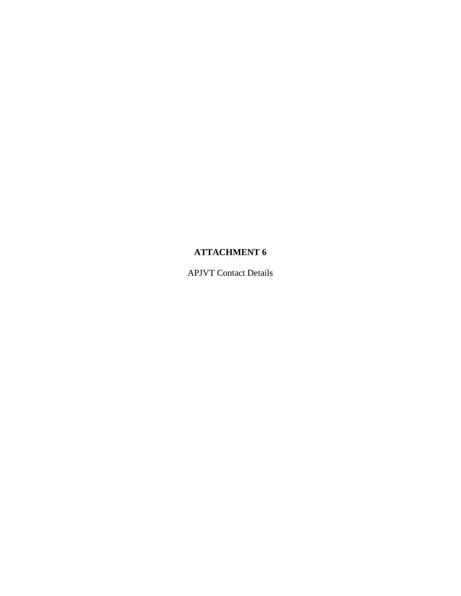## **ATTACHMENT 6**

APJVT Contact Details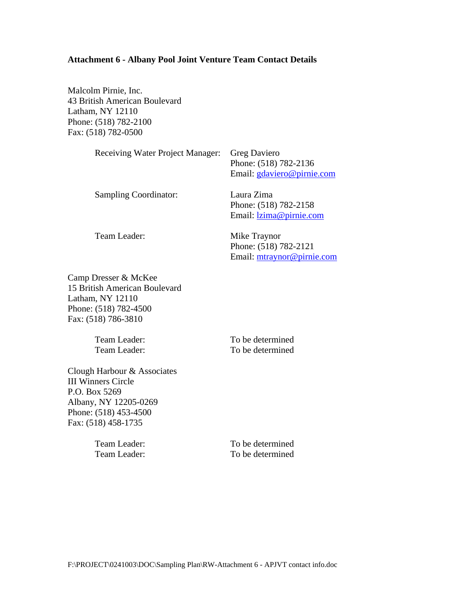#### **Attachment 6 - Albany Pool Joint Venture Team Contact Details**

Malcolm Pirnie, Inc. 43 British American Boulevard Latham, NY 12110 Phone: (518) 782-2100 Fax: (518) 782-0500

| <b>Receiving Water Project Manager:</b> | <b>Greg Daviero</b><br>Phone: (518) 782-2136<br>Email: gdaviero@pirnie.com |
|-----------------------------------------|----------------------------------------------------------------------------|
| <b>Sampling Coordinator:</b>            | Laura Zima<br>Phone: (518) 782-2158<br>Email: lzima@pirnie.com             |
| Team Leader:                            | Mike Traynor<br>Phone: (518) 782-2121<br>Email: mtraynor@pirnie.com        |

Camp Dresser & McKee 15 British American Boulevard Latham, NY 12110 Phone: (518) 782-4500 Fax: (518) 786-3810

Team Leader: To be determined

Team Leader: To be determined

Clough Harbour & Associates III Winners Circle P.O. Box 5269 Albany, NY 12205-0269 Phone: (518) 453-4500 Fax: (518) 458-1735

Team Leader: To be determined Team Leader: To be determined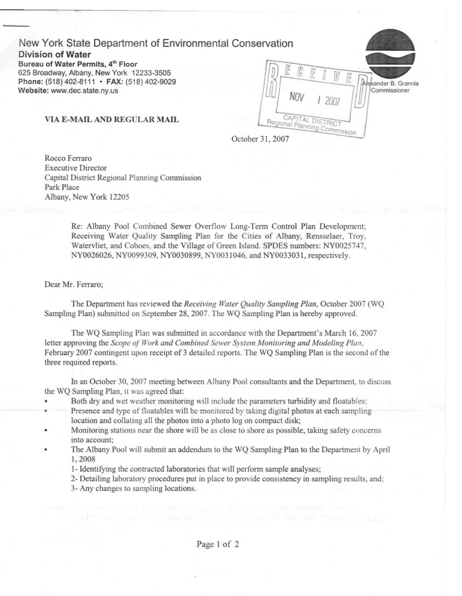# New York State Department of Environmental Conservation

**Division of Water** Bureau of Water Permits, 4th Floor 625 Broadway, Albany, New York 12233-3505 Phone: (518) 402-8111 · FAX: (518) 402-9029 Website: www.dec.state.ny.us

Alexander B. Grannis Commissioner Nni CAPITAL DISTRIC Regional Planning Commission

VIA E-MAIL AND REGULAR MAIL

October 31, 2007

Rocco Ferraro **Executive Director** Capital District Regional Planning Commission Park Place Albany, New York 12205

> Re: Albany Pool Combined Sewer Overflow Long-Term Control Plan Development: Receiving Water Ouality Sampling Plan for the Cities of Albany, Rensselaer, Troy, Watervliet, and Cohoes, and the Village of Green Island. SPDES numbers: NY0025747. NY0026026, NY0099309, NY0030899, NY0031046, and NY0033031, respectively.

#### Dear Mr. Ferraro:

The Department has reviewed the Receiving Water Ouality Sampling Plan, October 2007 (WO Sampling Plan) submitted on September 28, 2007. The WO Sampling Plan is hereby approved.

The WQ Sampling Plan was submitted in accordance with the Department's March 16, 2007 letter approving the Scope of Work and Combined Sewer System Monitoring and Modeling Plan. February 2007 contingent upon receipt of 3 detailed reports. The WQ Sampling Plan is the second of the three required reports.

In an October 30, 2007 meeting between Albany Pool consultants and the Department, to discuss the WQ Sampling Plan, it was agreed that:

- Both dry and wet weather monitoring will include the parameters turbidity and floatables: .
- Presence and type of floatables will be monitored by taking digital photos at each sampling location and collating all the photos into a photo log on compact disk;
- Monitoring stations near the shore will be as close to shore as possible, taking safety concerns into account;
- The Albany Pool will submit an addendum to the WO Sampling Plan to the Department by April 1.2008
	- 1- Identifying the contracted laboratories that will perform sample analyses:
	- 2- Detailing laboratory procedures put in place to provide consistency in sampling results, and;
	- 3- Any changes to sampling locations.